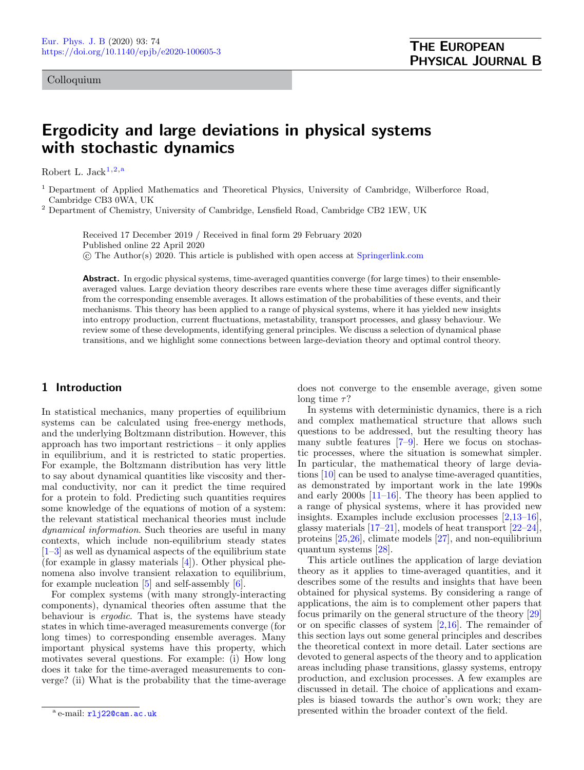## Colloquium

# Ergodicity and large deviations in physical systems with stochastic dynamics

Robert L. Jack $1,2,a$  $1,2,a$  $1,2,a$ 

<span id="page-0-0"></span><sup>1</sup> Department of Applied Mathematics and Theoretical Physics, University of Cambridge, Wilberforce Road, Cambridge CB3 0WA, UK

<span id="page-0-1"></span><sup>2</sup> Department of Chemistry, University of Cambridge, Lensfield Road, Cambridge CB2 1EW, UK

Received 17 December 2019 / Received in final form 29 February 2020 Published online 22 April 2020 c The Author(s) 2020. This article is published with open access at [Springerlink.com](http://www.springerlink.com)

Abstract. In ergodic physical systems, time-averaged quantities converge (for large times) to their ensembleaveraged values. Large deviation theory describes rare events where these time averages differ significantly from the corresponding ensemble averages. It allows estimation of the probabilities of these events, and their mechanisms. This theory has been applied to a range of physical systems, where it has yielded new insights into entropy production, current fluctuations, metastability, transport processes, and glassy behaviour. We review some of these developments, identifying general principles. We discuss a selection of dynamical phase transitions, and we highlight some connections between large-deviation theory and optimal control theory.

# 1 Introduction

In statistical mechanics, many properties of equilibrium systems can be calculated using free-energy methods, and the underlying Boltzmann distribution. However, this approach has two important restrictions – it only applies in equilibrium, and it is restricted to static properties. For example, the Boltzmann distribution has very little to say about dynamical quantities like viscosity and thermal conductivity, nor can it predict the time required for a protein to fold. Predicting such quantities requires some knowledge of the equations of motion of a system: the relevant statistical mechanical theories must include dynamical information. Such theories are useful in many contexts, which include non-equilibrium steady states [\[1](#page-19-0)[–3\]](#page-19-1) as well as dynamical aspects of the equilibrium state (for example in glassy materials [\[4\]](#page-19-2)). Other physical phenomena also involve transient relaxation to equilibrium, for example nucleation  $[5]$  and self-assembly  $[6]$ .

For complex systems (with many strongly-interacting components), dynamical theories often assume that the behaviour is ergodic. That is, the systems have steady states in which time-averaged measurements converge (for long times) to corresponding ensemble averages. Many important physical systems have this property, which motivates several questions. For example: (i) How long does it take for the time-averaged measurements to converge? (ii) What is the probability that the time-average

does not converge to the ensemble average, given some long time  $\tau$ ?

In systems with deterministic dynamics, there is a rich and complex mathematical structure that allows such questions to be addressed, but the resulting theory has many subtle features [\[7](#page-19-5)[–9\]](#page-19-6). Here we focus on stochastic processes, where the situation is somewhat simpler. In particular, the mathematical theory of large deviations [\[10\]](#page-19-7) can be used to analyse time-averaged quantities, as demonstrated by important work in the late 1990s and early 2000s [\[11](#page-19-8)[–16\]](#page-19-9). The theory has been applied to a range of physical systems, where it has provided new insights. Examples include exclusion processes [\[2,](#page-19-10)[13](#page-19-11)[–16\]](#page-19-9), glassy materials [\[17–](#page-19-12)[21\]](#page-19-13), models of heat transport [\[22](#page-19-14)[–24\]](#page-19-15), proteins [\[25](#page-19-16)[,26\]](#page-19-17), climate models [\[27\]](#page-19-18), and non-equilibrium quantum systems [\[28\]](#page-19-19).

This article outlines the application of large deviation theory as it applies to time-averaged quantities, and it describes some of the results and insights that have been obtained for physical systems. By considering a range of applications, the aim is to complement other papers that focus primarily on the general structure of the theory [\[29\]](#page-19-20) or on specific classes of system [\[2,](#page-19-10)[16\]](#page-19-9). The remainder of this section lays out some general principles and describes the theoretical context in more detail. Later sections are devoted to general aspects of the theory and to application areas including phase transitions, glassy systems, entropy production, and exclusion processes. A few examples are discussed in detail. The choice of applications and examples is biased towards the author's own work; they are presented within the broader context of the field.

<sup>&</sup>lt;sup>a</sup> e-mail: <mark>[rlj22@cam.ac.uk](mailto:rlj22@cam.ac.uk)</mark>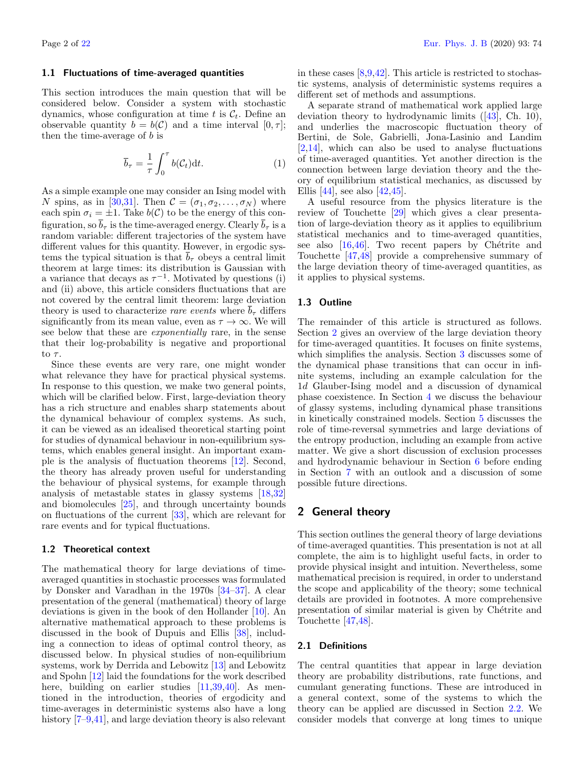#### <span id="page-1-2"></span>1.1 Fluctuations of time-averaged quantities

This section introduces the main question that will be considered below. Consider a system with stochastic dynamics, whose configuration at time t is  $\mathcal{C}_t$ . Define an observable quantity  $b = b(\mathcal{C})$  and a time interval  $[0, \tau]$ ; then the time-average of  $b$  is

<span id="page-1-1"></span>
$$
\overline{b}_{\tau} = \frac{1}{\tau} \int_0^{\tau} b(\mathcal{C}_t) dt.
$$
 (1)

As a simple example one may consider an Ising model with N spins, as in [\[30,](#page-20-0)[31\]](#page-20-1). Then  $\mathcal{C} = (\sigma_1, \sigma_2, \dots, \sigma_N)$  where each spin  $\sigma_i = \pm 1$ . Take  $b(\mathcal{C})$  to be the energy of this configuration, so  $\bar{b}_{\tau}$  is the time-averaged energy. Clearly  $\bar{b}_{\tau}$  is a random variable: different trajectories of the system have different values for this quantity. However, in ergodic systems the typical situation is that  $\bar{b}_{\tau}$  obeys a central limit theorem at large times: its distribution is Gaussian with a variance that decays as  $\tau^{-1}$ . Motivated by questions (i) and (ii) above, this article considers fluctuations that are not covered by the central limit theorem: large deviation theory is used to characterize rare events where  $\overline{b}_{\tau}$  differs significantly from its mean value, even as  $\tau \to \infty$ . We will see below that these are *exponentially* rare, in the sense that their log-probability is negative and proportional to  $\tau$ .

Since these events are very rare, one might wonder what relevance they have for practical physical systems. In response to this question, we make two general points, which will be clarified below. First, large-deviation theory has a rich structure and enables sharp statements about the dynamical behaviour of complex systems. As such, it can be viewed as an idealised theoretical starting point for studies of dynamical behaviour in non-equilibrium systems, which enables general insight. An important example is the analysis of fluctuation theorems [\[12\]](#page-19-22). Second, the theory has already proven useful for understanding the behaviour of physical systems, for example through analysis of metastable states in glassy systems [\[18,](#page-19-23)[32\]](#page-20-2) and biomolecules [\[25\]](#page-19-16), and through uncertainty bounds on fluctuations of the current [\[33\]](#page-20-3), which are relevant for rare events and for typical fluctuations.

### 1.2 Theoretical context

The mathematical theory for large deviations of timeaveraged quantities in stochastic processes was formulated by Donsker and Varadhan in the 1970s [\[34–](#page-20-4)[37\]](#page-20-5). A clear presentation of the general (mathematical) theory of large deviations is given in the book of den Hollander [\[10\]](#page-19-7). An alternative mathematical approach to these problems is discussed in the book of Dupuis and Ellis [\[38\]](#page-20-6), including a connection to ideas of optimal control theory, as discussed below. In physical studies of non-equilibrium systems, work by Derrida and Lebowitz [\[13\]](#page-19-11) and Lebowitz and Spohn [\[12\]](#page-19-22) laid the foundations for the work described here, building on earlier studies [\[11,](#page-19-8)[39,](#page-20-7)[40\]](#page-20-8). As mentioned in the introduction, theories of ergodicity and time-averages in deterministic systems also have a long history  $[7-9,41]$  $[7-9,41]$  $[7-9,41]$ , and large deviation theory is also relevant

in these cases  $[8,9,42]$  $[8,9,42]$  $[8,9,42]$ . This article is restricted to stochastic systems, analysis of deterministic systems requires a different set of methods and assumptions.

A separate strand of mathematical work applied large deviation theory to hydrodynamic limits ([\[43\]](#page-20-11), Ch. 10), and underlies the macroscopic fluctuation theory of Bertini, de Sole, Gabrielli, Jona-Lasinio and Landim [\[2](#page-19-10)[,14\]](#page-19-25), which can also be used to analyse fluctuations of time-averaged quantities. Yet another direction is the connection between large deviation theory and the theory of equilibrium statistical mechanics, as discussed by Ellis [\[44\]](#page-20-12), see also [\[42](#page-20-10)[,45\]](#page-20-13).

A useful resource from the physics literature is the review of Touchette [\[29\]](#page-19-20) which gives a clear presentation of large-deviation theory as it applies to equilibrium statistical mechanics and to time-averaged quantities, see also  $[16,46]$  $[16,46]$ . Two recent papers by Chétrite and Touchette [\[47](#page-20-15)[,48\]](#page-20-16) provide a comprehensive summary of the large deviation theory of time-averaged quantities, as it applies to physical systems.

## 1.3 Outline

The remainder of this article is structured as follows. Section [2](#page-1-0) gives an overview of the large deviation theory for time-averaged quantities. It focuses on finite systems, which simplifies the analysis. Section [3](#page-7-0) discusses some of the dynamical phase transitions that can occur in infinite systems, including an example calculation for the 1d Glauber-Ising model and a discussion of dynamical phase coexistence. In Section [4](#page-10-0) we discuss the behaviour of glassy systems, including dynamical phase transitions in kinetically constrained models. Section [5](#page-12-0) discusses the role of time-reversal symmetries and large deviations of the entropy production, including an example from active matter. We give a short discussion of exclusion processes and hydrodynamic behaviour in Section [6](#page-14-0) before ending in Section [7](#page-16-0) with an outlook and a discussion of some possible future directions.

# <span id="page-1-0"></span>2 General theory

This section outlines the general theory of large deviations of time-averaged quantities. This presentation is not at all complete, the aim is to highlight useful facts, in order to provide physical insight and intuition. Nevertheless, some mathematical precision is required, in order to understand the scope and applicability of the theory; some technical details are provided in footnotes. A more comprehensive presentation of similar material is given by Chétrite and Touchette [\[47,](#page-20-15)[48\]](#page-20-16).

#### <span id="page-1-3"></span>2.1 Definitions

The central quantities that appear in large deviation theory are probability distributions, rate functions, and cumulant generating functions. These are introduced in a general context, some of the systems to which the theory can be applied are discussed in Section [2.2.](#page-2-0) We consider models that converge at long times to unique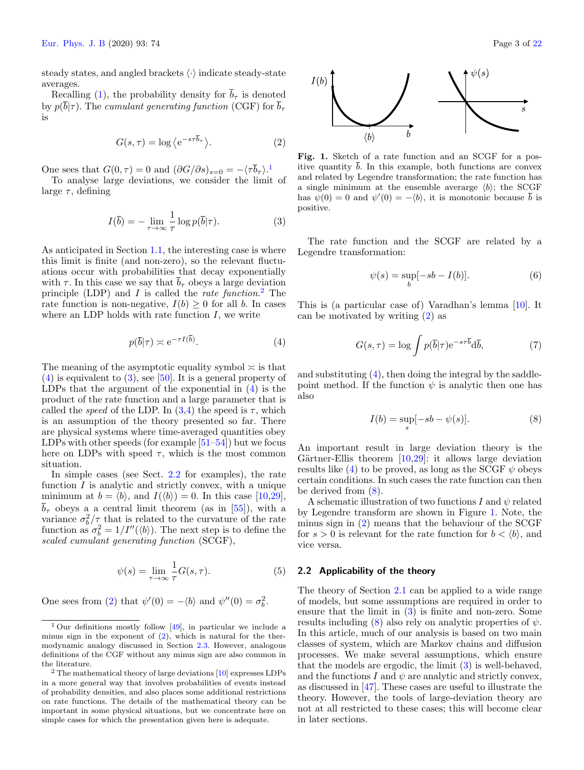steady states, and angled brackets  $\langle \cdot \rangle$  indicate steady-state averages.

Recalling [\(1\)](#page-1-1), the probability density for  $\bar{b}_{\tau}$  is denoted by  $p(\overline{b}|\tau)$ . The cumulant generating function (CGF) for  $\overline{b}_{\tau}$ is

<span id="page-2-5"></span>
$$
G(s,\tau) = \log \left\langle e^{-s\tau \overline{b}_{\tau}} \right\rangle. \tag{2}
$$

One sees that  $G(0, \tau) = 0$  and  $(\partial G/\partial s)_{s=0} = -\langle \tau \overline{b}_{\tau} \rangle$ .<sup>[1](#page-2-1)</sup>

To analyse large deviations, we consider the limit of large  $\tau$ , defining

<span id="page-2-4"></span>
$$
I(\overline{b}) = -\lim_{\tau \to \infty} \frac{1}{\tau} \log p(\overline{b}|\tau).
$$
 (3)

As anticipated in Section [1.1,](#page-1-2) the interesting case is where this limit is finite (and non-zero), so the relevant fluctuations occur with probabilities that decay exponentially with  $\tau$ . In this case we say that  $\overline{b}_{\tau}$  obeys a large deviation principle (LDP) and I is called the *rate function*.<sup>[2](#page-2-2)</sup> The rate function is non-negative,  $I(b) \geq 0$  for all b. In cases where an LDP holds with rate function  $I$ , we write

<span id="page-2-3"></span>
$$
p(\overline{b}|\tau) \asymp e^{-\tau I(\overline{b})}.
$$
 (4)

The meaning of the asymptotic equality symbol  $\approx$  is that  $(4)$  is equivalent to  $(3)$ , see [\[50\]](#page-20-17). It is a general property of LDPs that the argument of the exponential in [\(4\)](#page-2-3) is the product of the rate function and a large parameter that is called the *speed* of the LDP. In  $(3,4)$  $(3,4)$  the speed is  $\tau$ , which is an assumption of the theory presented so far. There are physical systems where time-averaged quantities obey LDPs with other speeds (for example [\[51–](#page-20-18)[54\]](#page-20-19)) but we focus here on LDPs with speed  $\tau$ , which is the most common situation.

In simple cases (see Sect. [2.2](#page-2-0) for examples), the rate function  $I$  is analytic and strictly convex, with a unique minimum at  $b = \langle b \rangle$ , and  $I(\langle b \rangle) = 0$ . In this case [\[10](#page-19-7)[,29\]](#page-19-20),  $\overline{b}_{\tau}$  obeys a a central limit theorem (as in [\[55\]](#page-20-20)), with a variance  $\sigma_b^2/\tau$  that is related to the curvature of the rate function as  $\sigma_b^2 = 1/I''(\langle b \rangle)$ . The next step is to define the scaled cumulant generating function (SCGF),

<span id="page-2-8"></span>
$$
\psi(s) = \lim_{\tau \to \infty} \frac{1}{\tau} G(s, \tau).
$$
\n(5)

One sees from [\(2\)](#page-2-5) that  $\psi'(0) = -\langle b \rangle$  and  $\psi''(0) = \sigma_b^2$ .



<span id="page-2-7"></span>Fig. 1. Sketch of a rate function and an SCGF for a positive quantity  $\bar{b}$ . In this example, both functions are convex and related by Legendre transformation; the rate function has a single minimum at the ensemble averarge  $\langle b \rangle$ ; the SCGF has  $\psi(0) = 0$  and  $\psi'(0) = -\langle b \rangle$ , it is monotonic because  $\bar{b}$  is positive.

The rate function and the SCGF are related by a Legendre transformation:

<span id="page-2-9"></span>
$$
\psi(s) = \sup_{b} [-sb - I(b)]. \tag{6}
$$

This is (a particular case of) Varadhan's lemma [\[10\]](#page-19-7). It can be motivated by writing [\(2\)](#page-2-5) as

$$
G(s,\tau) = \log \int p(\overline{b}|\tau) e^{-s\tau \overline{b}} d\overline{b},\tag{7}
$$

and substituting  $(4)$ , then doing the integral by the saddlepoint method. If the function  $\psi$  is analytic then one has also

<span id="page-2-6"></span>
$$
I(b) = \sup_{s} [-sb - \psi(s)]. \tag{8}
$$

An important result in large deviation theory is the Gärtner-Ellis theorem  $[10,29]$  $[10,29]$ : it allows large deviation results like [\(4\)](#page-2-3) to be proved, as long as the SCGF  $\psi$  obeys certain conditions. In such cases the rate function can then be derived from [\(8\)](#page-2-6).

A schematic illustration of two functions I and  $\psi$  related by Legendre transform are shown in Figure [1.](#page-2-7) Note, the minus sign in [\(2\)](#page-2-5) means that the behaviour of the SCGF for  $s > 0$  is relevant for the rate function for  $b < \langle b \rangle$ , and vice versa.

## <span id="page-2-0"></span>2.2 Applicability of the theory

The theory of Section [2.1](#page-1-3) can be applied to a wide range of models, but some assumptions are required in order to ensure that the limit in  $(3)$  is finite and non-zero. Some results including [\(8\)](#page-2-6) also rely on analytic properties of  $\psi$ . In this article, much of our analysis is based on two main classes of system, which are Markov chains and diffusion processes. We make several assumptions, which ensure that the models are ergodic, the limit [\(3\)](#page-2-4) is well-behaved, and the functions  $I$  and  $\psi$  are analytic and strictly convex, as discussed in [\[47\]](#page-20-15). These cases are useful to illustrate the theory. However, the tools of large-deviation theory are not at all restricted to these cases; this will become clear in later sections.

<span id="page-2-1"></span><sup>&</sup>lt;sup>1</sup> Our definitions mostly follow  $[49]$ , in particular we include a minus sign in the exponent of  $(2)$ , which is natural for the thermodynamic analogy discussed in Section [2.3.](#page-3-0) However, analogous definitions of the CGF without any minus sign are also common in the literature.

<span id="page-2-2"></span> $2$  The mathematical theory of large deviations  $[10]$  expresses LDPs in a more general way that involves probabilities of events instead of probability densities, and also places some additional restrictions on rate functions. The details of the mathematical theory can be important in some physical situations, but we concentrate here on simple cases for which the presentation given here is adequate.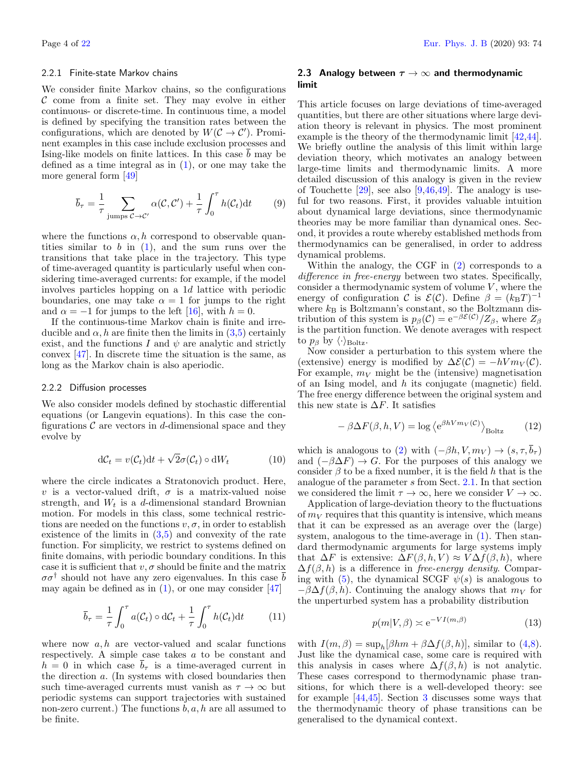#### 2.2.1 Finite-state Markov chains

We consider finite Markov chains, so the configurations  $\mathcal C$  come from a finite set. They may evolve in either continuous- or discrete-time. In continuous time, a model is defined by specifying the transition rates between the configurations, which are denoted by  $W(C \rightarrow C')$ . Prominent examples in this case include exclusion processes and Ising-like models on finite lattices. In this case b may be defined as a time integral as in  $(1)$ , or one may take the more general form [\[49\]](#page-20-21)

<span id="page-3-1"></span>
$$
\overline{b}_{\tau} = \frac{1}{\tau} \sum_{\text{jumps } C \to C'} \alpha(C, C') + \frac{1}{\tau} \int_0^{\tau} h(C_t) dt \qquad (9)
$$

where the functions  $\alpha$ , h correspond to observable quantities similar to  $b$  in  $(1)$ , and the sum runs over the transitions that take place in the trajectory. This type of time-averaged quantity is particularly useful when considering time-averaged currents: for example, if the model involves particles hopping on a 1d lattice with periodic boundaries, one may take  $\alpha = 1$  for jumps to the right and  $\alpha = -1$  for jumps to the left [\[16\]](#page-19-9), with  $h = 0$ .

If the continuous-time Markov chain is finite and irreducible and  $\alpha$ , h are finite then the limits in  $(3,5)$  $(3,5)$  certainly exist, and the functions I and  $\psi$  are analytic and strictly convex [\[47\]](#page-20-15). In discrete time the situation is the same, as long as the Markov chain is also aperiodic.

#### 2.2.2 Diffusion processes

We also consider models defined by stochastic differential equations (or Langevin equations). In this case the configurations  $\mathcal C$  are vectors in d-dimensional space and they evolve by

$$
dC_t = v(C_t)dt + \sqrt{2}\sigma(C_t) \circ dW_t
$$
 (10)

where the circle indicates a Stratonovich product. Here, v is a vector-valued drift,  $\sigma$  is a matrix-valued noise strength, and  $W_t$  is a d-dimensional standard Brownian motion. For models in this class, some technical restrictions are needed on the functions  $v, \sigma$ , in order to establish existence of the limits in  $(3,5)$  $(3,5)$  and convexity of the rate function. For simplicity, we restrict to systems defined on finite domains, with periodic boundary conditions. In this case it is sufficient that  $v, \sigma$  should be finite and the matrix  $\sigma\sigma^{\dagger}$  should not have any zero eigenvalues. In this case  $\bar{b}$ may again be defined as in  $(1)$ , or one may consider  $[47]$ 

<span id="page-3-2"></span>
$$
\overline{b}_{\tau} = \frac{1}{\tau} \int_0^{\tau} a(\mathcal{C}_t) \circ d\mathcal{C}_t + \frac{1}{\tau} \int_0^{\tau} h(\mathcal{C}_t) dt \qquad (11)
$$

where now  $a, h$  are vector-valued and scalar functions respectively. A simple case takes a to be constant and  $h = 0$  in which case  $\overline{b}_{\tau}$  is a time-averaged current in the direction a. (In systems with closed boundaries then such time-averaged currents must vanish as  $\tau \to \infty$  but periodic systems can support trajectories with sustained non-zero current.) The functions  $b, a, h$  are all assumed to be finite.

## <span id="page-3-0"></span>2.3 Analogy between  $\tau \to \infty$  and thermodynamic limit

This article focuses on large deviations of time-averaged quantities, but there are other situations where large deviation theory is relevant in physics. The most prominent example is the theory of the thermodynamic limit [\[42](#page-20-10)[,44\]](#page-20-12). We briefly outline the analysis of this limit within large deviation theory, which motivates an analogy between large-time limits and thermodynamic limits. A more detailed discussion of this analogy is given in the review of Touchette  $[29]$ , see also  $[9,46,49]$  $[9,46,49]$  $[9,46,49]$ . The analogy is useful for two reasons. First, it provides valuable intuition about dynamical large deviations, since thermodynamic theories may be more familiar than dynamical ones. Second, it provides a route whereby established methods from thermodynamics can be generalised, in order to address dynamical problems.

Within the analogy, the CGF in [\(2\)](#page-2-5) corresponds to a difference in free-energy between two states. Specifically, consider a thermodynamic system of volume  $V$ , where the energy of configuration C is  $\mathcal{E}(\mathcal{C})$ . Define  $\beta = (k_B T)^{-1}$ where  $k_B$  is Boltzmann's constant, so the Boltzmann distribution of this system is  $p_\beta(\mathcal{C}) = e^{-\beta \mathcal{E}(\mathcal{C})}/Z_\beta$ , where  $Z_\beta$ is the partition function. We denote averages with respect to  $p_\beta$  by  $\langle \cdot \rangle_{\text{Boltz}}$ .

Now consider a perturbation to this system where the (extensive) energy is modified by  $\Delta \mathcal{E}(\mathcal{C}) = -hV m_V(\mathcal{C})$ . For example,  $m_V$  might be the (intensive) magnetisation of an Ising model, and h its conjugate (magnetic) field. The free energy difference between the original system and this new state is  $\Delta F$ . It satisfies

$$
-\beta \Delta F(\beta, h, V) = \log \left\langle e^{\beta h V m_V(\mathcal{C})} \right\rangle_{\text{Boltz}} \qquad (12)
$$

which is analogous to [\(2\)](#page-2-5) with  $(-\beta h, V, m_V) \rightarrow (s, \tau, \bar{b}_{\tau})$ and  $(-\beta \Delta F) \rightarrow G$ . For the purposes of this analogy we consider  $\beta$  to be a fixed number, it is the field h that is the analogue of the parameter s from Sect. [2.1.](#page-1-3) In that section we considered the limit  $\tau \to \infty$ , here we consider  $V \to \infty$ .

Application of large-deviation theory to the fluctuations of  $m_V$  requires that this quantity is intensive, which means that it can be expressed as an average over the (large) system, analogous to the time-average in [\(1\)](#page-1-1). Then standard thermodynamic arguments for large systems imply that  $\Delta F$  is extensive:  $\Delta F(\beta, h, V) \approx V \Delta f(\beta, h)$ , where  $\Delta f(\beta, h)$  is a difference in *free-energy density*. Compar-ing with [\(5\)](#page-2-8), the dynamical SCGF  $\psi(s)$  is analogous to  $-\beta\Delta f(\beta, h)$ . Continuing the analogy shows that  $m_V$  for the unperturbed system has a probability distribution

$$
p(m|V,\beta) \asymp e^{-VI(m,\beta)}\tag{13}
$$

with  $I(m, \beta) = \sup_h[\beta h m + \beta \Delta f(\beta, h)],$  similar to [\(4](#page-2-3)[,8\)](#page-2-6). Just like the dynamical case, some care is required with this analysis in cases where  $\Delta f(\beta, h)$  is not analytic. These cases correspond to thermodynamic phase transitions, for which there is a well-developed theory: see for example [\[44](#page-20-12)[,45\]](#page-20-13). Section [3](#page-7-0) discusses some ways that the thermodynamic theory of phase transitions can be generalised to the dynamical context.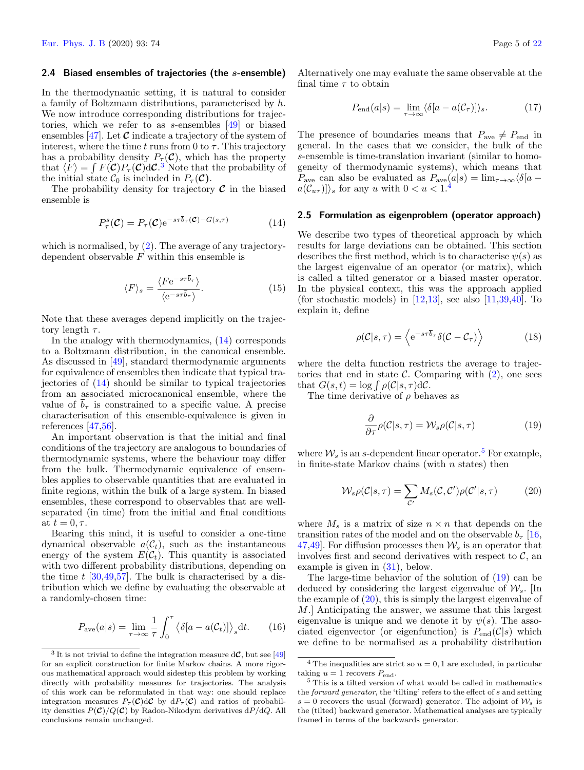#### <span id="page-4-10"></span>2.4 Biased ensembles of trajectories (the s-ensemble)

In the thermodynamic setting, it is natural to consider a family of Boltzmann distributions, parameterised by h. We now introduce corresponding distributions for trajectories, which we refer to as s-ensembles [\[49\]](#page-20-21) or biased ensembles [\[47\]](#page-20-15). Let  $\mathcal C$  indicate a trajectory of the system of interest, where the time t runs from 0 to  $\tau$ . This trajectory has a probability density  $P_{\tau}(\mathcal{C})$ , which has the property that  $\langle F \rangle = \int F(\mathcal{C}) P_\tau(\mathcal{C}) d\mathcal{C}^3$  $\langle F \rangle = \int F(\mathcal{C}) P_\tau(\mathcal{C}) d\mathcal{C}^3$ . Note that the probability of the initial state  $\mathcal{C}_0$  is included in  $P_\tau(\mathcal{C})$ .

The probability density for trajectory  $\mathcal C$  in the biased ensemble is

<span id="page-4-1"></span>
$$
P_{\tau}^{s}(\mathcal{C}) = P_{\tau}(\mathcal{C})e^{-s\tau b_{\tau}(\mathcal{C}) - G(s,\tau)}
$$
(14)

which is normalised, by  $(2)$ . The average of any trajectorydependent observable  $F$  within this ensemble is

<span id="page-4-7"></span>
$$
\langle F \rangle_s = \frac{\langle F e^{-s\tau \overline{b}_\tau} \rangle}{\langle e^{-s\tau \overline{b}_\tau} \rangle}.
$$
 (15)

Note that these averages depend implicitly on the trajectory length  $\tau$ .

In the analogy with thermodynamics, [\(14\)](#page-4-1) corresponds to a Boltzmann distribution, in the canonical ensemble. As discussed in [\[49\]](#page-20-21), standard thermodynamic arguments for equivalence of ensembles then indicate that typical trajectories of [\(14\)](#page-4-1) should be similar to typical trajectories from an associated microcanonical ensemble, where the value of  $\bar{b}_{\tau}$  is constrained to a specific value. A precise characterisation of this ensemble-equivalence is given in references [\[47,](#page-20-15)[56\]](#page-20-22).

An important observation is that the initial and final conditions of the trajectory are analogous to boundaries of thermodynamic systems, where the behaviour may differ from the bulk. Thermodynamic equivalence of ensembles applies to observable quantities that are evaluated in finite regions, within the bulk of a large system. In biased ensembles, these correspond to observables that are wellseparated (in time) from the initial and final conditions at  $t = 0, \tau$ .

Bearing this mind, it is useful to consider a one-time dynamical observable  $a(\mathcal{C}_t)$ , such as the instantaneous energy of the system  $E(\mathcal{C}_t)$ . This quantity is associated with two different probability distributions, depending on the time  $t \left[30,49,57\right]$  $t \left[30,49,57\right]$  $t \left[30,49,57\right]$  $t \left[30,49,57\right]$ . The bulk is characterised by a distribution which we define by evaluating the observable at a randomly-chosen time:

$$
P_{\rm ave}(a|s) = \lim_{\tau \to \infty} \frac{1}{\tau} \int_0^{\tau} \langle \delta[a - a(\mathcal{C}_t)] \rangle_s \mathrm{d}t. \qquad (16)
$$

Alternatively one may evaluate the same observable at the final time  $\tau$  to obtain

<span id="page-4-8"></span>
$$
P_{\text{end}}(a|s) = \lim_{\tau \to \infty} \langle \delta[a - a(\mathcal{C}_{\tau})] \rangle_s. \tag{17}
$$

The presence of boundaries means that  $P_{\text{ave}} \neq P_{\text{end}}$  in general. In the cases that we consider, the bulk of the s-ensemble is time-translation invariant (similar to homogeneity of thermodynamic systems), which means that  $P_{\text{ave}}$  can also be evaluated as  $P_{\text{ave}}(a|s) = \lim_{\tau \to \infty} \langle \delta | a - \tau \rangle$  $\langle \widetilde{a(C_{u\tau})} \rangle_s$  for any u with  $0 < u < 1$ .

## <span id="page-4-9"></span>2.5 Formulation as eigenproblem (operator approach)

We describe two types of theoretical approach by which results for large deviations can be obtained. This section describes the first method, which is to characterise  $\psi(s)$  as the largest eigenvalue of an operator (or matrix), which is called a tilted generator or a biased master operator. In the physical context, this was the approach applied (for stochastic models) in  $[12,13]$  $[12,13]$ , see also  $[11,39,40]$  $[11,39,40]$  $[11,39,40]$ . To explain it, define

<span id="page-4-6"></span>
$$
\rho(C|s,\tau) = \left\langle e^{-s\tau \overline{b}_{\tau}} \delta(C - C_{\tau}) \right\rangle \tag{18}
$$

where the delta function restricts the average to trajectories that end in state  $\mathcal{C}$ . Comparing with  $(2)$ , one sees that  $G(s,t) = \log \int \rho(C|s,\tau) dC$ .

The time derivative of  $\rho$  behaves as

<span id="page-4-4"></span>
$$
\frac{\partial}{\partial \tau} \rho(C|s,\tau) = \mathcal{W}_s \rho(C|s,\tau) \tag{19}
$$

where  $W_s$  is an s-dependent linear operator.<sup>[5](#page-4-3)</sup> For example, in finite-state Markov chains (with  $n$  states) then

<span id="page-4-5"></span>
$$
W_s \rho(C|s,\tau) = \sum_{\mathcal{C}'} M_s(\mathcal{C}, \mathcal{C}') \rho(\mathcal{C}'|s,\tau) \tag{20}
$$

where  $M_s$  is a matrix of size  $n \times n$  that depends on the transition rates of the model and on the observable  $\overline{b}_{\tau}$  [\[16,](#page-19-9) [47,](#page-20-15)49. For diffusion processes then  $\mathcal{W}_s$  is an operator that involves first and second derivatives with respect to  $\mathcal{C}$ , an example is given in [\(31\)](#page-6-0), below.

The large-time behavior of the solution of [\(19\)](#page-4-4) can be deduced by considering the largest eigenvalue of  $\mathcal{W}_{s}$ . [In the example of [\(20\)](#page-4-5), this is simply the largest eigenvalue of M.] Anticipating the answer, we assume that this largest eigenvalue is unique and we denote it by  $\psi(s)$ . The associated eigenvector (or eigenfunction) is  $P_{end}(\mathcal{C}|s)$  which we define to be normalised as a probability distribution

<span id="page-4-0"></span><sup>&</sup>lt;sup>3</sup> It is not trivial to define the integration measure  $dC$ , but see [\[49\]](#page-20-21) for an explicit construction for finite Markov chains. A more rigorous mathematical approach would sidestep this problem by working directly with probability measures for trajectories. The analysis of this work can be reformulated in that way: one should replace integration measures  $P_{\tau}(\mathcal{C})d\mathcal{C}$  by  $dP_{\tau}(\mathcal{C})$  and ratios of probability densities  $P(\mathcal{C})/Q(\mathcal{C})$  by Radon-Nikodym derivatives  $dP/dQ$ . All conclusions remain unchanged.

<span id="page-4-2"></span> $^4$  The inequalities are strict so  $u=0,1$  are excluded, in particular taking  $u = 1$  recovers  $P_{\text{end}}$ .

<span id="page-4-3"></span><sup>5</sup> This is a tilted version of what would be called in mathematics the forward generator, the 'tilting' refers to the effect of s and setting  $s = 0$  recovers the usual (forward) generator. The adjoint of  $\mathcal{W}_s$  is the (tilted) backward generator. Mathematical analyses are typically framed in terms of the backwards generator.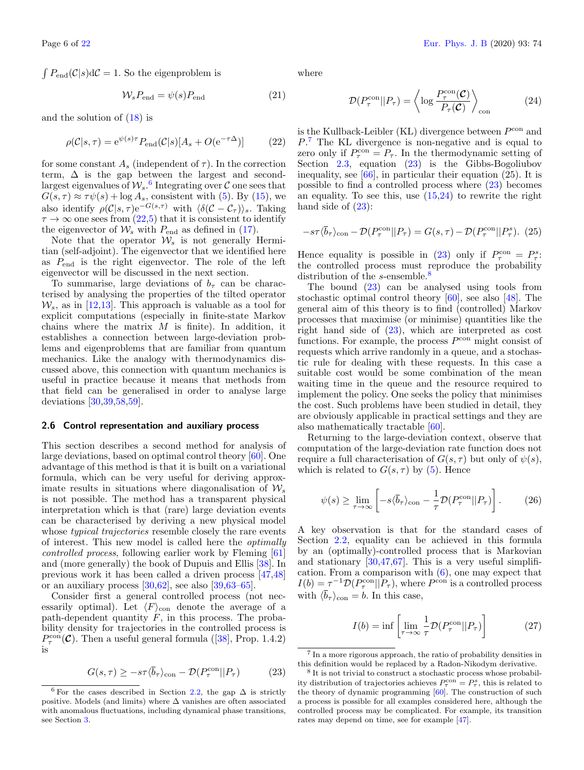$\int P_{\text{end}}(\mathcal{C}|s) d\mathcal{C} = 1$ . So the eigenproblem is

$$
W_s P_{\text{end}} = \psi(s) P_{\text{end}} \tag{21}
$$

and the solution of [\(18\)](#page-4-6) is

<span id="page-5-1"></span>
$$
\rho(\mathcal{C}|s,\tau) = e^{\psi(s)\tau} P_{\text{end}}(\mathcal{C}|s)[A_s + O(e^{-\tau\Delta})]
$$
(22)

for some constant  $A_s$  (independent of  $\tau$ ). In the correction term,  $\Delta$  is the gap between the largest and secondlargest eigenvalues of  $W_s$ .<sup>[6](#page-5-0)</sup> Integrating over  $\mathcal C$  one sees that  $G(s, \tau) \approx \tau \psi(s) + \log A_s$ , consistent with [\(5\)](#page-2-8). By [\(15\)](#page-4-7), we also identify  $\rho(\mathcal{C}|s,\tau) e^{-G(s,\tau)}$  with  $\langle \delta(\mathcal{C}-\mathcal{C}_{\tau}) \rangle_s$ . Taking  $\tau \to \infty$  one sees from  $(22.5)$  $(22.5)$  that it is consistent to identify the eigenvector of  $\mathcal{W}_s$  with  $P_{\text{end}}$  as defined in [\(17\)](#page-4-8).

Note that the operator  $\mathcal{W}_s$  is not generally Hermitian (self-adjoint). The eigenvector that we identified here as  $P_{\text{end}}$  is the right eigenvector. The role of the left eigenvector will be discussed in the next section.

To summarise, large deviations of  $b<sub>\tau</sub>$  can be characterised by analysing the properties of the tilted operator  $W_s$ , as in [\[12](#page-19-22)[,13\]](#page-19-11). This approach is valuable as a tool for explicit computations (especially in finite-state Markov chains where the matrix  $M$  is finite). In addition, it establishes a connection between large-deviation problems and eigenproblems that are familiar from quantum mechanics. Like the analogy with thermodynamics discussed above, this connection with quantum mechanics is useful in practice because it means that methods from that field can be generalised in order to analyse large deviations [\[30,](#page-20-0)[39](#page-20-7)[,58,](#page-20-24)[59\]](#page-20-25).

## <span id="page-5-7"></span>2.6 Control representation and auxiliary process

This section describes a second method for analysis of large deviations, based on optimal control theory [\[60\]](#page-20-26). One advantage of this method is that it is built on a variational formula, which can be very useful for deriving approximate results in situations where diagonalisation of  $\mathcal{W}_s$ is not possible. The method has a transparent physical interpretation which is that (rare) large deviation events can be characterised by deriving a new physical model whose *typical trajectories* resemble closely the rare events of interest. This new model is called here the optimally controlled process, following earlier work by Fleming [\[61\]](#page-20-27) and (more generally) the book of Dupuis and Ellis [\[38\]](#page-20-6). In previous work it has been called a driven process [\[47,](#page-20-15)[48\]](#page-20-16) or an auxiliary process [\[30,](#page-20-0)[62\]](#page-20-28), see also [\[39,](#page-20-7)[63–](#page-20-29)[65\]](#page-20-30).

Consider first a general controlled process (not necessarily optimal). Let  $\langle F \rangle$ <sub>con</sub> denote the average of a path-dependent quantity  $F$ , in this process. The probability density for trajectories in the controlled process is  $P_{\tau}^{\text{con}}(\mathcal{C})$ . Then a useful general formula ([\[38\]](#page-20-6), Prop. 1.4.2) is

<span id="page-5-3"></span>
$$
G(s,\tau) \ge -s\tau \langle \bar{b}_{\tau} \rangle_{\text{con}} - \mathcal{D}(P_{\tau}^{\text{con}} || P_{\tau}) \tag{23}
$$

where

<span id="page-5-4"></span>
$$
\mathcal{D}(P_{\tau}^{\text{con}}||P_{\tau}) = \left\langle \log \frac{P_{\tau}^{\text{con}}(\mathcal{C})}{P_{\tau}(\mathcal{C})} \right\rangle_{\text{con}}
$$
(24)

is the Kullback-Leibler (KL) divergence between  $P^{\rm con}$  and P. [7](#page-5-2) The KL divergence is non-negative and is equal to zero only if  $P_{\tau}^{\text{con}} = P_{\tau}$ . In the thermodynamic setting of Section [2.3,](#page-3-0) equation [\(23\)](#page-5-3) is the Gibbs-Bogoliubov inequality, see  $[66]$ , in particular their equation  $(25)$ . It is possible to find a controlled process where [\(23\)](#page-5-3) becomes an equality. To see this, use [\(15,](#page-4-7)[24\)](#page-5-4) to rewrite the right hand side of  $(23)$ :

$$
-s\tau\langle\bar{b}_{\tau}\rangle_{\text{con}} - \mathcal{D}(P_{\tau}^{\text{con}}||P_{\tau}) = G(s,\tau) - \mathcal{D}(P_{\tau}^{\text{con}}||P_{\tau}^{s}). \tag{25}
$$

Hence equality is possible in [\(23\)](#page-5-3) only if  $P_{\tau}^{\text{con}} = P_{\tau}^{s}$ . the controlled process must reproduce the probability distribution of the s-ensemble.<sup>[8](#page-5-5)</sup>

The bound [\(23\)](#page-5-3) can be analysed using tools from stochastic optimal control theory [\[60\]](#page-20-26), see also [\[48\]](#page-20-16). The general aim of this theory is to find (controlled) Markov processes that maximise (or minimise) quantities like the right hand side of [\(23\)](#page-5-3), which are interpreted as cost functions. For example, the process  $P^{\rm con}$  might consist of requests which arrive randomly in a queue, and a stochastic rule for dealing with these requests. In this case a suitable cost would be some combination of the mean waiting time in the queue and the resource required to implement the policy. One seeks the policy that minimises the cost. Such problems have been studied in detail, they are obviously applicable in practical settings and they are also mathematically tractable [\[60\]](#page-20-26).

Returning to the large-deviation context, observe that computation of the large-deviation rate function does not require a full characterisation of  $G(s, \tau)$  but only of  $\psi(s)$ , which is related to  $G(s, \tau)$  by [\(5\)](#page-2-8). Hence

<span id="page-5-8"></span>
$$
\psi(s) \ge \lim_{\tau \to \infty} \left[ -s \langle \overline{b}_{\tau} \rangle_{\text{con}} - \frac{1}{\tau} \mathcal{D} (P_{\tau}^{\text{con}} || P_{\tau}) \right]. \tag{26}
$$

A key observation is that for the standard cases of Section [2.2,](#page-2-0) equality can be achieved in this formula by an (optimally)-controlled process that is Markovian and stationary [\[30](#page-20-0)[,47,](#page-20-15)[67\]](#page-20-32). This is a very useful simplification. From a comparison with [\(6\)](#page-2-9), one may expect that  $I(b) = \tau^{-1} \mathcal{D}(P_{\tau}^{\text{con}} || P_{\tau}),$  where  $P^{\text{con}}$  is a controlled process with  $\langle \bar{b}_{\tau} \rangle_{\text{con}} = b$ . In this case,

<span id="page-5-6"></span>
$$
I(b) = \inf \left[ \lim_{\tau \to \infty} \frac{1}{\tau} \mathcal{D}(P_{\tau}^{\text{con}} || P_{\tau}) \right] \tag{27}
$$

<span id="page-5-0"></span><sup>&</sup>lt;sup>6</sup> For the cases described in Section [2.2,](#page-2-0) the gap  $\Delta$  is strictly positive. Models (and limits) where ∆ vanishes are often associated with anomalous fluctuations, including dynamical phase transitions, see Section [3.](#page-7-0)

<span id="page-5-2"></span><sup>7</sup> In a more rigorous approach, the ratio of probability densities in this definition would be replaced by a Radon-Nikodym derivative.

<span id="page-5-5"></span><sup>8</sup> It is not trivial to construct a stochastic process whose probability distribution of trajectories achieves  $P_{\tau}^{\rm con} = P_{\tau}^s$ , this is related to the theory of dynamic programming [\[60\]](#page-20-26). The construction of such a process is possible for all examples considered here, although the controlled process may be complicated. For example, its transition rates may depend on time, see for example [\[47\]](#page-20-15).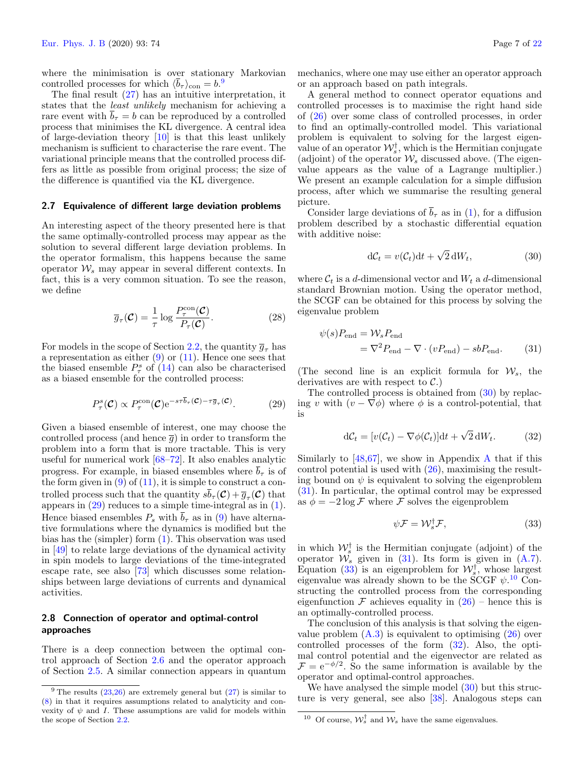where the minimisation is over stationary Markovian controlled processes for which  $\langle \overline{b}_{\tau} \rangle_{\text{con}} = b$ .<sup>[9](#page-6-1)</sup>

The final result [\(27\)](#page-5-6) has an intuitive interpretation, it states that the least unlikely mechanism for achieving a rare event with  $\overline{b}_{\tau} = b$  can be reproduced by a controlled process that minimises the KL divergence. A central idea of large-deviation theory [\[10\]](#page-19-7) is that this least unlikely mechanism is sufficient to characterise the rare event. The variational principle means that the controlled process differs as little as possible from original process; the size of the difference is quantified via the KL divergence.

#### <span id="page-6-7"></span>2.7 Equivalence of different large deviation problems

An interesting aspect of the theory presented here is that the same optimally-controlled process may appear as the solution to several different large deviation problems. In the operator formalism, this happens because the same operator  $W_s$  may appear in several different contexts. In fact, this is a very common situation. To see the reason, we define

<span id="page-6-8"></span>
$$
\overline{g}_{\tau}(\mathcal{C}) = \frac{1}{\tau} \log \frac{P_{\tau}^{\text{con}}(\mathcal{C})}{P_{\tau}(\mathcal{C})}.
$$
 (28)

For models in the scope of Section [2.2,](#page-2-0) the quantity  $\overline{q}_{\tau}$  has a representation as either  $(9)$  or  $(11)$ . Hence one sees that the biased ensemble  $P^s_{\tau}$  of [\(14\)](#page-4-1) can also be characterised as a biased ensemble for the controlled process:

<span id="page-6-2"></span>
$$
P_{\tau}^{s}(\mathcal{C}) \propto P_{\tau}^{\text{con}}(\mathcal{C}) e^{-s\tau \overline{b}_{\tau}(\mathcal{C}) - \tau \overline{g}_{\tau}(\mathcal{C})}.
$$
 (29)

Given a biased ensemble of interest, one may choose the controlled process (and hence  $\overline{g}$ ) in order to transform the problem into a form that is more tractable. This is very useful for numerical work [\[68](#page-20-33)[–72\]](#page-20-34). It also enables analytic progress. For example, in biased ensembles where  $\bar{b}_{\tau}$  is of the form given in  $(9)$  of  $(11)$ , it is simple to construct a controlled process such that the quantity  $sb_\tau(\mathcal{C}) + \overline{g}_\tau(\mathcal{C})$  that appears in [\(29\)](#page-6-2) reduces to a simple time-integral as in [\(1\)](#page-1-1). Hence biased ensembles  $P_s$  with  $\overline{b}_{\tau}$  as in [\(9\)](#page-3-1) have alternative formulations where the dynamics is modified but the bias has the (simpler) form [\(1\)](#page-1-1). This observation was used in [\[49\]](#page-20-21) to relate large deviations of the dynamical activity in spin models to large deviations of the time-integrated escape rate, see also [\[73\]](#page-20-35) which discusses some relationships between large deviations of currents and dynamical activities.

## 2.8 Connection of operator and optimal-control approaches

There is a deep connection between the optimal control approach of Section [2.6](#page-5-7) and the operator approach of Section [2.5.](#page-4-9) A similar connection appears in quantum mechanics, where one may use either an operator approach or an approach based on path integrals.

A general method to connect operator equations and controlled processes is to maximise the right hand side of [\(26\)](#page-5-8) over some class of controlled processes, in order to find an optimally-controlled model. This variational problem is equivalent to solving for the largest eigenvalue of an operator  $\mathcal{W}_s^{\dagger}$ , which is the Hermitian conjugate (adjoint) of the operator  $\mathcal{W}_s$  discussed above. (The eigenvalue appears as the value of a Lagrange multiplier.) We present an example calculation for a simple diffusion process, after which we summarise the resulting general picture.

Consider large deviations of  $\bar{b}_{\tau}$  as in [\(1\)](#page-1-1), for a diffusion problem described by a stochastic differential equation with additive noise:

<span id="page-6-3"></span><span id="page-6-0"></span>
$$
dC_t = v(C_t)dt + \sqrt{2}dW_t,
$$
\n(30)

where  $\mathcal{C}_t$  is a d-dimensional vector and  $W_t$  a d-dimensional standard Brownian motion. Using the operator method, the SCGF can be obtained for this process by solving the eigenvalue problem

$$
\psi(s)P_{\text{end}} = W_s P_{\text{end}}
$$

$$
= \nabla^2 P_{\text{end}} - \nabla \cdot (vP_{\text{end}}) - sbP_{\text{end}}.
$$
(31)

(The second line is an explicit formula for  $\mathcal{W}_s$ , the derivatives are with respect to  $C$ .)

The controlled process is obtained from [\(30\)](#page-6-3) by replacing v with  $(v - \nabla \phi)$  where  $\phi$  is a control-potential, that is

<span id="page-6-6"></span>
$$
dC_t = [v(C_t) - \nabla \phi(C_t)]dt + \sqrt{2}dW_t.
$$
 (32)

Similarly to  $[48,67]$  $[48,67]$ , we show in [A](#page-17-0)ppendix A that if this control potential is used with [\(26\)](#page-5-8), maximising the resulting bound on  $\psi$  is equivalent to solving the eigenproblem [\(31\)](#page-6-0). In particular, the optimal control may be expressed as  $\phi = -2 \log \mathcal{F}$  where  $\mathcal F$  solves the eigenproblem

<span id="page-6-4"></span>
$$
\psi \mathcal{F} = \mathcal{W}_s^{\dagger} \mathcal{F},\tag{33}
$$

in which  $\mathcal{W}_s^{\dagger}$  is the Hermitian conjugate (adjoint) of the operator  $\mathcal{W}_s$  given in [\(31\)](#page-6-0). Its form is given in [\(A.7\)](#page-17-1). Equation [\(33\)](#page-6-4) is an eigenproblem for  $\mathcal{W}_s^{\dagger}$ , whose largest eigenvalue was already shown to be the SCGF  $\psi$ .<sup>[10](#page-6-5)</sup> Constructing the controlled process from the corresponding eigenfunction F achieves equality in  $(26)$  – hence this is an optimally-controlled process.

The conclusion of this analysis is that solving the eigenvalue problem  $(A.3)$  is equivalent to optimising  $(26)$  over controlled processes of the form [\(32\)](#page-6-6). Also, the optimal control potential and the eigenvector are related as  $\mathcal{F} = e^{-\phi/2}$ . So the same information is available by the operator and optimal-control approaches.

We have analysed the simple model  $(30)$  but this structure is very general, see also [\[38\]](#page-20-6). Analogous steps can

<span id="page-6-1"></span> $9$  The results [\(23](#page-5-3)[,26\)](#page-5-8) are extremely general but [\(27\)](#page-5-6) is similar to [\(8\)](#page-2-6) in that it requires assumptions related to analyticity and convexity of  $\psi$  and I. These assumptions are valid for models within the scope of Section [2.2.](#page-2-0)

<span id="page-6-5"></span><sup>&</sup>lt;sup>10</sup> Of course,  $\mathcal{W}_s^{\dagger}$  and  $\mathcal{W}_s$  have the same eigenvalues.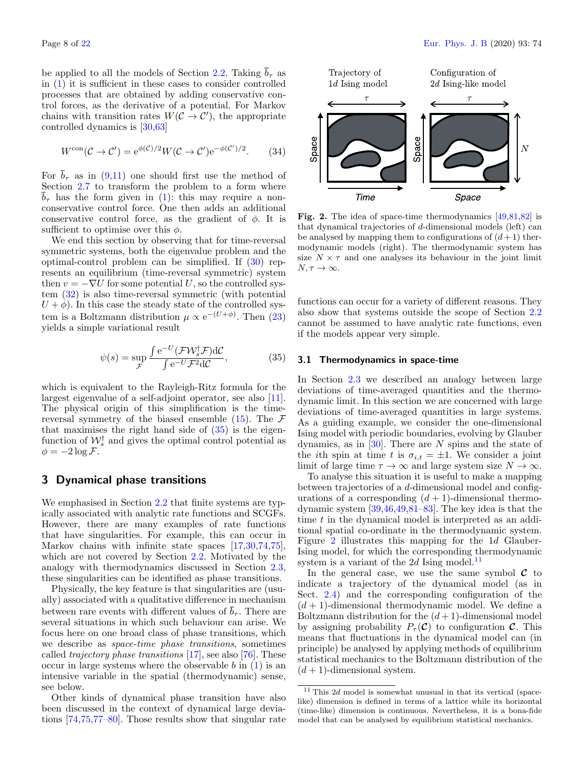be applied to all the models of Section [2.2.](#page-2-0) Taking  $\bar{b}_{\tau}$  as in [\(1\)](#page-1-1) it is sufficient in these cases to consider controlled processes that are obtained by adding conservative control forces, as the derivative of a potential. For Markov chains with transition rates  $W(C \to C')$ , the appropriate controlled dynamics is [\[30,](#page-20-0)[63\]](#page-20-29)

$$
W^{\text{con}}(\mathcal{C} \to \mathcal{C}') = e^{\phi(\mathcal{C})/2} W(\mathcal{C} \to \mathcal{C}') e^{-\phi(\mathcal{C}')/2}.
$$
 (34)

For  $\bar{b}_{\tau}$  as in [\(9,](#page-3-1)[11\)](#page-3-2) one should first use the method of Section [2.7](#page-6-7) to transform the problem to a form where  $\overline{b}_{\tau}$  has the form given in [\(1\)](#page-1-1): this may require a nonconservative control force. One then adds an additional conservative control force, as the gradient of  $\phi$ . It is sufficient to optimise over this  $\phi$ .

We end this section by observing that for time-reversal symmetric systems, both the eigenvalue problem and the optimal-control problem can be simplified. If [\(30\)](#page-6-3) represents an equilibrium (time-reversal symmetric) system then  $v = -\nabla U$  for some potential U, so the controlled system [\(32\)](#page-6-6) is also time-reversal symmetric (with potential  $U + \phi$ ). In this case the steady state of the controlled system is a Boltzmann distribution  $\mu \propto e^{-(U+\phi)}$ . Then [\(23\)](#page-5-3) yields a simple variational result

<span id="page-7-1"></span>
$$
\psi(s) = \sup_{\mathcal{F}} \frac{\int e^{-U} (\mathcal{F} \mathcal{W}_s^{\dagger} \mathcal{F}) d\mathcal{C}}{\int e^{-U} \mathcal{F}^2 d\mathcal{C}},
$$
\n(35)

which is equivalent to the Rayleigh-Ritz formula for the largest eigenvalue of a self-adjoint operator, see also [\[11\]](#page-19-8). The physical origin of this simplification is the timereversal symmetry of the biased ensemble  $(15)$ . The F that maximises the right hand side of  $(35)$  is the eigenfunction of  $\mathcal{W}_s^{\dagger}$  and gives the optimal control potential as  $\phi = -2 \log \mathcal{F}.$ 

## <span id="page-7-0"></span>3 Dynamical phase transitions

We emphasised in Section [2.2](#page-2-0) that finite systems are typically associated with analytic rate functions and SCGFs. However, there are many examples of rate functions that have singularities. For example, this can occur in Markov chains with infinite state spaces  $\left[17,30,74,75\right],$  $\left[17,30,74,75\right],$  $\left[17,30,74,75\right],$  $\left[17,30,74,75\right],$  $\left[17,30,74,75\right],$ which are not covered by Section [2.2.](#page-2-0) Motivated by the analogy with thermodynamics discussed in Section [2.3,](#page-3-0) these singularities can be identified as phase transitions.

Physically, the key feature is that singularities are (usually) associated with a qualitative difference in mechanism between rare events with different values of  $\bar{b}_{\tau}$ . There are several situations in which such behaviour can arise. We focus here on one broad class of phase transitions, which we describe as space-time phase transitions, sometimes called trajectory phase transitions [\[17\]](#page-19-12), see also [\[76\]](#page-20-38). These occur in large systems where the observable  $b$  in  $(1)$  is an intensive variable in the spatial (thermodynamic) sense, see below.

Other kinds of dynamical phase transition have also been discussed in the context of dynamical large deviations [\[74](#page-20-36)[,75](#page-20-37)[,77](#page-20-39)[–80\]](#page-20-40). Those results show that singular rate



<span id="page-7-2"></span>Fig. 2. The idea of space-time thermodynamics [\[49,](#page-20-21)[81,](#page-20-41)[82\]](#page-20-42) is that dynamical trajectories of d-dimensional models (left) can be analysed by mapping them to configurations of  $(d+1)$  thermodynamic models (right). The thermodynamic system has size  $N \times \tau$  and one analyses its behaviour in the joint limit  $N, \tau \to \infty$ .

functions can occur for a variety of different reasons. They also show that systems outside the scope of Section [2.2](#page-2-0) cannot be assumed to have analytic rate functions, even if the models appear very simple.

#### <span id="page-7-4"></span>3.1 Thermodynamics in space-time

In Section [2.3](#page-3-0) we described an analogy between large deviations of time-averaged quantities and the thermodynamic limit. In this section we are concerned with large deviations of time-averaged quantities in large systems. As a guiding example, we consider the one-dimensional Ising model with periodic boundaries, evolving by Glauber dynamics, as in  $[30]$ . There are N spins and the state of the *i*th spin at time t is  $\sigma_{i,t} = \pm 1$ . We consider a joint limit of large time  $\tau \to \infty$  and large system size  $N \to \infty$ .

To analyse this situation it is useful to make a mapping between trajectories of a d-dimensional model and configurations of a corresponding  $(d+1)$ -dimensional thermodynamic system [\[39,](#page-20-7)[46](#page-20-14)[,49,](#page-20-21)[81–](#page-20-41)[83\]](#page-20-43). The key idea is that the time t in the dynamical model is interpreted as an additional spatial co-ordinate in the thermodynamic system. Figure [2](#page-7-2) illustrates this mapping for the 1d Glauber-Ising model, for which the corresponding thermodynamic system is a variant of the 2d Ising model.<sup>[11](#page-7-3)</sup>

In the general case, we use the same symbol  $C$  to indicate a trajectory of the dynamical model (as in Sect. [2.4\)](#page-4-10) and the corresponding configuration of the  $(d+1)$ -dimensional thermodynamic model. We define a Boltzmann distribution for the  $(d+1)$ -dimensional model by assigning probability  $P_{\tau}(\mathcal{C})$  to configuration  $\mathcal{C}$ . This means that fluctuations in the dynamical model can (in principle) be analysed by applying methods of equilibrium statistical mechanics to the Boltzmann distribution of the  $(d+1)$ -dimensional system.

<span id="page-7-3"></span> $11$  This 2d model is somewhat unusual in that its vertical (spacelike) dimension is defined in terms of a lattice while its horizontal (time-like) dimension is continuous. Nevertheless, it is a bona-fide model that can be analysed by equilibrium statistical mechanics.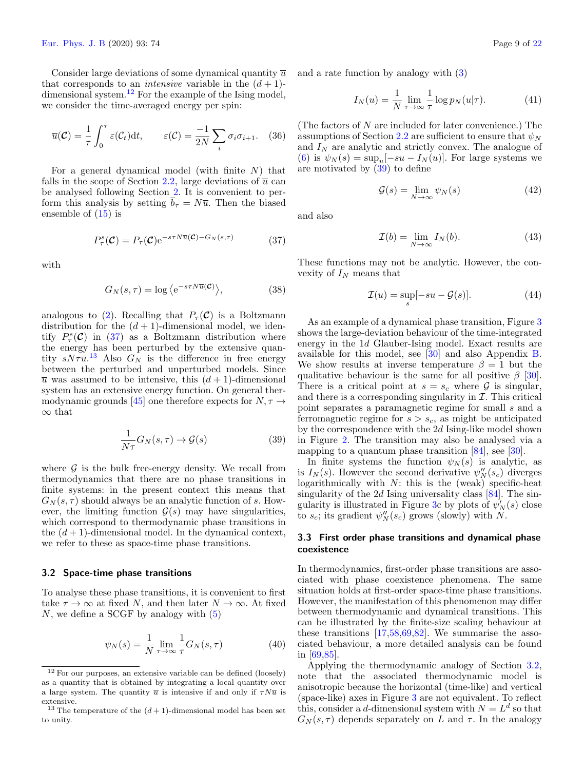Consider large deviations of some dynamical quantity  $\bar{u}$ that corresponds to an *intensive* variable in the  $(d+1)$ -dimensional system.<sup>[12](#page-8-0)</sup> For the example of the Ising model, we consider the time-averaged energy per spin:

$$
\overline{u}(\mathcal{C}) = \frac{1}{\tau} \int_0^{\tau} \varepsilon(\mathcal{C}_t) dt, \qquad \varepsilon(\mathcal{C}) = \frac{-1}{2N} \sum_i \sigma_i \sigma_{i+1}. \quad (36)
$$

For a general dynamical model (with finite  $N$ ) that falls in the scope of Section [2.2,](#page-2-0) large deviations of  $\overline{u}$  can be analysed following Section [2.](#page-1-0) It is convenient to perform this analysis by setting  $\overline{b}_{\tau} = N\overline{u}$ . Then the biased ensemble of [\(15\)](#page-4-7) is

<span id="page-8-1"></span>
$$
P_{\tau}^{s}(\mathcal{C}) = P_{\tau}(\mathcal{C}) e^{-s\tau N \overline{u}(\mathcal{C}) - G_{N}(s,\tau)}
$$
(37)

with

$$
G_N(s,\tau) = \log \left\langle e^{-s\tau N \overline{u}(\mathcal{C})} \right\rangle,\tag{38}
$$

analogous to [\(2\)](#page-2-5). Recalling that  $P_\tau(\mathcal{C})$  is a Boltzmann distribution for the  $(d + 1)$ -dimensional model, we identify  $P^s_\tau(\mathcal{C})$  in [\(37\)](#page-8-1) as a Boltzmann distribution where the energy has been perturbed by the extensive quantity  $sN\tau\overline{u}$ <sup>[13](#page-8-2)</sup> Also  $G_N$  is the difference in free energy between the perturbed and unperturbed models. Since  $\overline{u}$  was assumed to be intensive, this  $(d+1)$ -dimensional system has an extensive energy function. On general ther-modynamic grounds [\[45\]](#page-20-13) one therefore expects for  $N, \tau \rightarrow$ ∞ that

<span id="page-8-3"></span>
$$
\frac{1}{N\tau}G_N(s,\tau) \to \mathcal{G}(s)
$$
\n(39)

where  $G$  is the bulk free-energy density. We recall from thermodynamics that there are no phase transitions in finite systems: in the present context this means that  $G_N(s, \tau)$  should always be an analytic function of s. However, the limiting function  $\mathcal{G}(s)$  may have singularities, which correspond to thermodynamic phase transitions in the  $(d+1)$ -dimensional model. In the dynamical context, we refer to these as space-time phase transitions.

#### <span id="page-8-4"></span>3.2 Space-time phase transitions

To analyse these phase transitions, it is convenient to first take  $\tau \to \infty$  at fixed N, and then later  $N \to \infty$ . At fixed  $N$ , we define a SCGF by analogy with  $(5)$ 

<span id="page-8-7"></span>
$$
\psi_N(s) = \frac{1}{N} \lim_{\tau \to \infty} \frac{1}{\tau} G_N(s, \tau)
$$
\n(40)

and a rate function by analogy with [\(3\)](#page-2-4)

<span id="page-8-8"></span>
$$
I_N(u) = \frac{1}{N} \lim_{\tau \to \infty} \frac{1}{\tau} \log p_N(u|\tau).
$$
 (41)

(The factors of N are included for later convenience.) The assumptions of Section [2.2](#page-2-0) are sufficient to ensure that  $\psi_N$ and  $I_N$  are analytic and strictly convex. The analogue of [\(6\)](#page-2-9) is  $\psi_N(s) = \sup_u [-su - I_N(u)]$ . For large systems we are motivated by [\(39\)](#page-8-3) to define

<span id="page-8-5"></span>
$$
\mathcal{G}(s) = \lim_{N \to \infty} \psi_N(s) \tag{42}
$$

and also

<span id="page-8-6"></span>
$$
\mathcal{I}(b) = \lim_{N \to \infty} I_N(b). \tag{43}
$$

These functions may not be analytic. However, the convexity of  $I_N$  means that

<span id="page-8-9"></span>
$$
\mathcal{I}(u) = \sup_{s} [-su - \mathcal{G}(s)]. \tag{44}
$$

As an example of a dynamical phase transition, Figure [3](#page-9-0) shows the large-deviation behaviour of the time-integrated energy in the 1d Glauber-Ising model. Exact results are available for this model, see [\[30\]](#page-20-0) and also Appendix [B.](#page-18-0) We show results at inverse temperature  $\beta = 1$  but the qualitative behaviour is the same for all positive  $\beta$  [\[30\]](#page-20-0). There is a critical point at  $s = s_c$  where  $\mathcal G$  is singular, and there is a corresponding singularity in  $I$ . This critical point separates a paramagnetic regime for small s and a ferromagnetic regime for  $s > s_c$ , as might be anticipated by the correspondence with the 2d Ising-like model shown in Figure [2.](#page-7-2) The transition may also be analysed via a mapping to a quantum phase transition [\[84\]](#page-20-44), see [\[30\]](#page-20-0).

In finite systems the function  $\psi_N(s)$  is analytic, as is  $I_N(s)$ . However the second derivative  $\psi''_N(s_c)$  diverges logarithmically with  $N$ : this is the (weak) specific-heat singularity of the 2d Ising universality class  $[84]$ . The sin-gularity is illustrated in Figure [3c](#page-9-0) by plots of  $\psi'_N(s)$  close to  $s_c$ ; its gradient  $\psi''_N(s_c)$  grows (slowly) with  $\tilde{N}$ .

## 3.3 First order phase transitions and dynamical phase coexistence

In thermodynamics, first-order phase transitions are associated with phase coexistence phenomena. The same situation holds at first-order space-time phase transitions. However, the manifestation of this phenomenon may differ between thermodynamic and dynamical transitions. This can be illustrated by the finite-size scaling behaviour at these transitions  $[17,58,69,82]$  $[17,58,69,82]$  $[17,58,69,82]$  $[17,58,69,82]$ . We summarise the associated behaviour, a more detailed analysis can be found in [\[69,](#page-20-45)[85\]](#page-20-46).

Applying the thermodynamic analogy of Section [3.2,](#page-8-4) note that the associated thermodynamic model is anisotropic because the horizontal (time-like) and vertical (space-like) axes in Figure [3](#page-9-0) are not equivalent. To reflect this, consider a d-dimensional system with  $N = L<sup>d</sup>$  so that  $G_N(s, \tau)$  depends separately on L and  $\tau$ . In the analogy

<span id="page-8-0"></span><sup>12</sup> For our purposes, an extensive variable can be defined (loosely) as a quantity that is obtained by integrating a local quantity over a large system. The quantity  $\bar{u}$  is intensive if and only if  $\tau N\bar{u}$  is extensive.

<span id="page-8-2"></span><sup>&</sup>lt;sup>13</sup> The temperature of the  $(d+1)$ -dimensional model has been set to unity.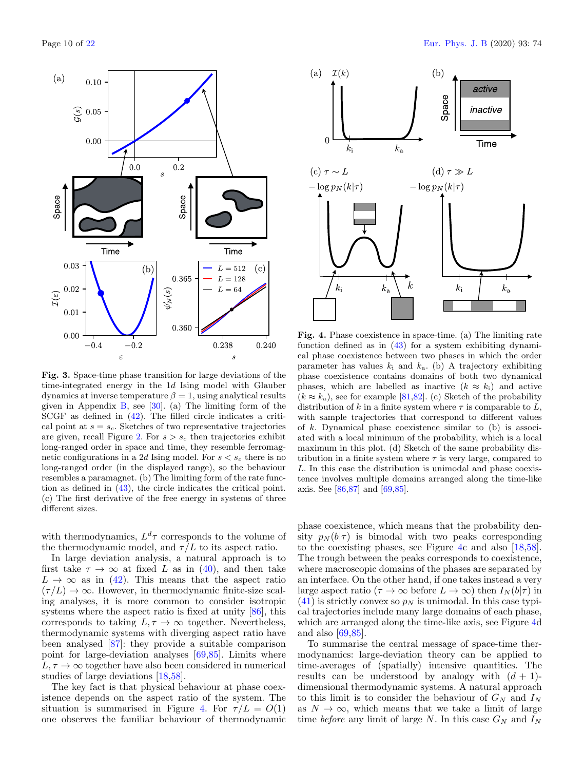

<span id="page-9-0"></span>Fig. 3. Space-time phase transition for large deviations of the time-integrated energy in the 1d Ising model with Glauber dynamics at inverse temperature  $\beta = 1$ , using analytical results given in Appendix [B,](#page-18-0) see  $[30]$ . (a) The limiting form of the SCGF as defined in [\(42\)](#page-8-5). The filled circle indicates a critical point at  $s = s_c$ . Sketches of two representative trajectories are given, recall Figure [2.](#page-7-2) For  $s > s_c$  then trajectories exhibit long-ranged order in space and time, they resemble ferromagnetic configurations in a 2d Ising model. For  $s < s_c$  there is no long-ranged order (in the displayed range), so the behaviour resembles a paramagnet. (b) The limiting form of the rate function as defined in [\(43\)](#page-8-6), the circle indicates the critical point. (c) The first derivative of the free energy in systems of three different sizes.

with thermodynamics,  $L^d\tau$  corresponds to the volume of the thermodynamic model, and  $\tau/L$  to its aspect ratio.

In large deviation analysis, a natural approach is to first take  $\tau \to \infty$  at fixed L as in [\(40\)](#page-8-7), and then take  $L \rightarrow \infty$  as in [\(42\)](#page-8-5). This means that the aspect ratio  $(\tau/L) \rightarrow \infty$ . However, in thermodynamic finite-size scaling analyses, it is more common to consider isotropic systems where the aspect ratio is fixed at unity  $[86]$ , this corresponds to taking  $L, \tau \to \infty$  together. Nevertheless, thermodynamic systems with diverging aspect ratio have been analysed [\[87\]](#page-20-48): they provide a suitable comparison point for large-deviation analyses [\[69,](#page-20-45)[85\]](#page-20-46). Limits where  $L, \tau \rightarrow \infty$  together have also been considered in numerical studies of large deviations [\[18,](#page-19-23)[58\]](#page-20-24).

The key fact is that physical behaviour at phase coexistence depends on the aspect ratio of the system. The situation is summarised in Figure [4.](#page-9-1) For  $\tau/L = O(1)$ one observes the familiar behaviour of thermodynamic



<span id="page-9-1"></span>Fig. 4. Phase coexistence in space-time. (a) The limiting rate function defined as in [\(43\)](#page-8-6) for a system exhibiting dynamical phase coexistence between two phases in which the order parameter has values  $k_i$  and  $k_a$ . (b) A trajectory exhibiting phase coexistence contains domains of both two dynamical phases, which are labelled as inactive  $(k \approx k_i)$  and active  $(k \approx k_a)$ , see for example [\[81,](#page-20-41)[82\]](#page-20-42). (c) Sketch of the probability distribution of k in a finite system where  $\tau$  is comparable to L, with sample trajectories that correspond to different values of k. Dynamical phase coexistence similar to (b) is associated with a local minimum of the probability, which is a local maximum in this plot. (d) Sketch of the same probability distribution in a finite system where  $\tau$  is very large, compared to L. In this case the distribution is unimodal and phase coexistence involves multiple domains arranged along the time-like axis. See [\[86,](#page-20-47)[87\]](#page-20-48) and [\[69,](#page-20-45)[85\]](#page-20-46).

phase coexistence, which means that the probability density  $p_N(b|\tau)$  is bimodal with two peaks corresponding to the coexisting phases, see Figure [4c](#page-9-1) and also [\[18](#page-19-23)[,58\]](#page-20-24). The trough between the peaks corresponds to coexistence, where macroscopic domains of the phases are separated by an interface. On the other hand, if one takes instead a very large aspect ratio ( $\tau \to \infty$  before  $L \to \infty$ ) then  $I_N(b|\tau)$  in  $(41)$  is strictly convex so  $p<sub>N</sub>$  is unimodal. In this case typical trajectories include many large domains of each phase, which are arranged along the time-like axis, see Figure [4d](#page-9-1) and also [\[69](#page-20-45)[,85\]](#page-20-46).

To summarise the central message of space-time thermodynamics: large-deviation theory can be applied to time-averages of (spatially) intensive quantities. The results can be understood by analogy with  $(d + 1)$ dimensional thermodynamic systems. A natural approach to this limit is to consider the behaviour of  $G_N$  and  $I_N$ as  $N \to \infty$ , which means that we take a limit of large time before any limit of large N. In this case  $G_N$  and  $I_N$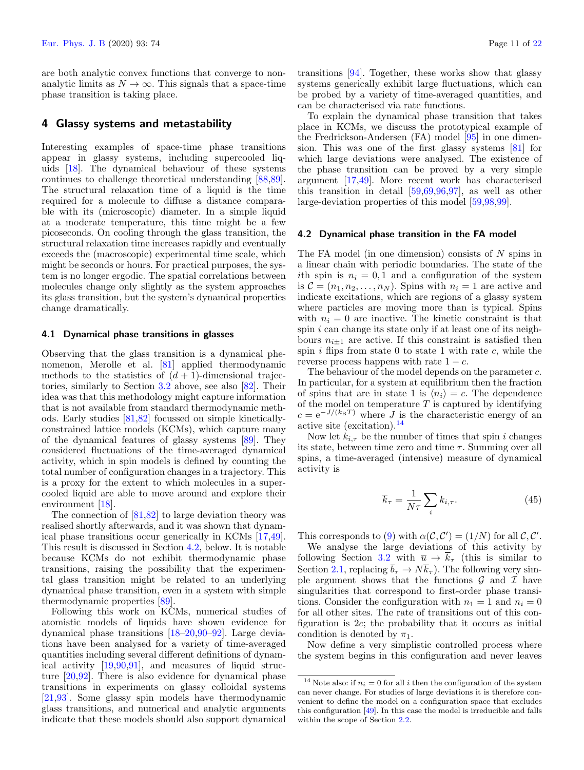are both analytic convex functions that converge to nonanalytic limits as  $N \to \infty$ . This signals that a space-time phase transition is taking place.

## <span id="page-10-0"></span>4 Glassy systems and metastability

Interesting examples of space-time phase transitions appear in glassy systems, including supercooled liquids [\[18\]](#page-19-23). The dynamical behaviour of these systems continues to challenge theoretical understanding [\[88](#page-20-49)[,89\]](#page-20-50). The structural relaxation time of a liquid is the time required for a molecule to diffuse a distance comparable with its (microscopic) diameter. In a simple liquid at a moderate temperature, this time might be a few picoseconds. On cooling through the glass transition, the structural relaxation time increases rapidly and eventually exceeds the (macroscopic) experimental time scale, which might be seconds or hours. For practical purposes, the system is no longer ergodic. The spatial correlations between molecules change only slightly as the system approaches its glass transition, but the system's dynamical properties change dramatically.

## 4.1 Dynamical phase transitions in glasses

Observing that the glass transition is a dynamical phenomenon, Merolle et al. [\[81\]](#page-20-41) applied thermodynamic methods to the statistics of  $(d+1)$ -dimensional trajectories, similarly to Section [3.2](#page-8-4) above, see also [\[82\]](#page-20-42). Their idea was that this methodology might capture information that is not available from standard thermodynamic methods. Early studies [\[81,](#page-20-41)[82\]](#page-20-42) focussed on simple kineticallyconstrained lattice models (KCMs), which capture many of the dynamical features of glassy systems [\[89\]](#page-20-50). They considered fluctuations of the time-averaged dynamical activity, which in spin models is defined by counting the total number of configuration changes in a trajectory. This is a proxy for the extent to which molecules in a supercooled liquid are able to move around and explore their environment [\[18\]](#page-19-23).

The connection of [\[81](#page-20-41)[,82\]](#page-20-42) to large deviation theory was realised shortly afterwards, and it was shown that dynamical phase transitions occur generically in KCMs [\[17](#page-19-12)[,49\]](#page-20-21). This result is discussed in Section [4.2,](#page-10-1) below. It is notable because KCMs do not exhibit thermodynamic phase transitions, raising the possibility that the experimental glass transition might be related to an underlying dynamical phase transition, even in a system with simple thermodynamic properties [\[89\]](#page-20-50).

Following this work on KCMs, numerical studies of atomistic models of liquids have shown evidence for dynamical phase transitions [\[18–](#page-19-23)[20,](#page-19-26)[90](#page-20-51)[–92\]](#page-20-52). Large deviations have been analysed for a variety of time-averaged quantities including several different definitions of dynamical activity [\[19,](#page-19-27)[90,](#page-20-51)[91\]](#page-20-53), and measures of liquid structure [\[20](#page-19-26)[,92\]](#page-20-52). There is also evidence for dynamical phase transitions in experiments on glassy colloidal systems [\[21](#page-19-13)[,93\]](#page-20-54). Some glassy spin models have thermodynamic glass transitions, and numerical and analytic arguments indicate that these models should also support dynamical

transitions [\[94\]](#page-20-55). Together, these works show that glassy systems generically exhibit large fluctuations, which can be probed by a variety of time-averaged quantities, and can be characterised via rate functions.

To explain the dynamical phase transition that takes place in KCMs, we discuss the prototypical example of the Fredrickson-Andersen (FA) model [\[95\]](#page-20-56) in one dimension. This was one of the first glassy systems [\[81\]](#page-20-41) for which large deviations were analysed. The existence of the phase transition can be proved by a very simple argument [\[17,](#page-19-12)[49\]](#page-20-21). More recent work has characterised this transition in detail  $[59,69,96,97]$  $[59,69,96,97]$  $[59,69,96,97]$  $[59,69,96,97]$ , as well as other large-deviation properties of this model [\[59](#page-20-25)[,98,](#page-21-1)[99\]](#page-21-2).

#### <span id="page-10-1"></span>4.2 Dynamical phase transition in the FA model

The FA model (in one dimension) consists of  $N$  spins in a linear chain with periodic boundaries. The state of the ith spin is  $n_i = 0, 1$  and a configuration of the system is  $\mathcal{C} = (n_1, n_2, \dots, n_N)$ . Spins with  $n_i = 1$  are active and indicate excitations, which are regions of a glassy system where particles are moving more than is typical. Spins with  $n_i = 0$  are inactive. The kinetic constraint is that spin *i* can change its state only if at least one of its neighbours  $n_{i\pm 1}$  are active. If this constraint is satisfied then spin  $i$  flips from state 0 to state 1 with rate  $c$ , while the reverse process happens with rate  $1 - c$ .

The behaviour of the model depends on the parameter c. In particular, for a system at equilibrium then the fraction of spins that are in state 1 is  $\langle n_i \rangle = c$ . The dependence of the model on temperature  $T$  is captured by identifying  $c = e^{-J/(k_BT)}$  where J is the characteristic energy of an active site (excitation).[14](#page-10-2)

Now let  $k_{i,\tau}$  be the number of times that spin i changes its state, between time zero and time  $\tau$ . Summing over all spins, a time-averaged (intensive) measure of dynamical activity is

$$
\overline{k}_{\tau} = \frac{1}{N\tau} \sum_{i} k_{i,\tau}.
$$
\n(45)

This corresponds to [\(9\)](#page-3-1) with  $\alpha(C, C') = (1/N)$  for all  $C, C'$ .

We analyse the large deviations of this activity by following Section [3.2](#page-8-4) with  $\overline{u} \to \overline{k}_{\tau}$  (this is similar to Section [2.1,](#page-1-3) replacing  $\bar{b}_{\tau} \to N\bar{k}_{\tau}$ ). The following very simple argument shows that the functions  $\mathcal G$  and  $\mathcal I$  have singularities that correspond to first-order phase transitions. Consider the configuration with  $n_1 = 1$  and  $n_i = 0$ for all other sites. The rate of transitions out of this configuration is 2c; the probability that it occurs as initial condition is denoted by  $\pi_1$ .

Now define a very simplistic controlled process where the system begins in this configuration and never leaves

<span id="page-10-2"></span><sup>&</sup>lt;sup>14</sup> Note also: if  $n_i = 0$  for all i then the configuration of the system can never change. For studies of large deviations it is therefore convenient to define the model on a configuration space that excludes this configuration [\[49\]](#page-20-21). In this case the model is irreducible and falls within the scope of Section [2.2.](#page-2-0)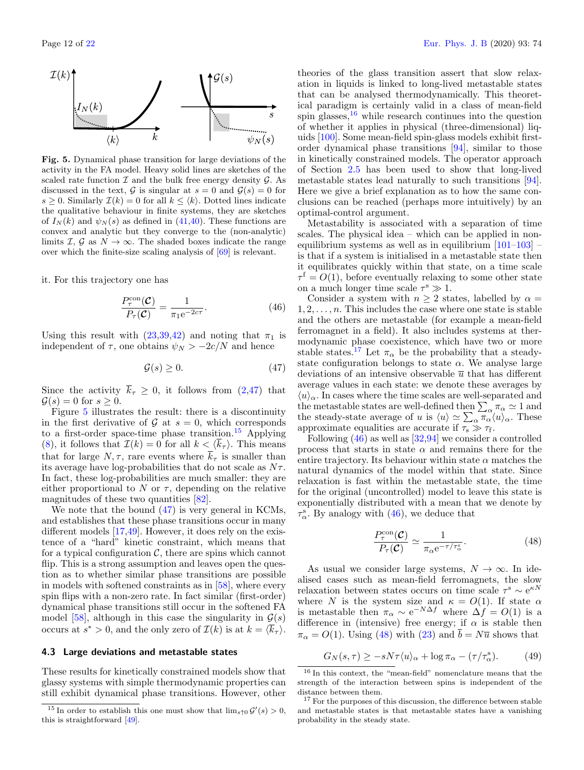

<span id="page-11-1"></span>Fig. 5. Dynamical phase transition for large deviations of the activity in the FA model. Heavy solid lines are sketches of the scaled rate function  $\mathcal I$  and the bulk free energy density  $\mathcal G$ . As discussed in the text,  $G$  is singular at  $s = 0$  and  $G(s) = 0$  for  $s \geq 0$ . Similarly  $\mathcal{I}(k) = 0$  for all  $k \leq \langle k \rangle$ . Dotted lines indicate the qualitative behaviour in finite systems, they are sketches of  $I_N(k)$  and  $\psi_N(s)$  as defined in [\(41,](#page-8-8)[40\)](#page-8-7). These functions are convex and analytic but they converge to the (non-analytic) limits I,  $\mathcal{G}$  as  $N \to \infty$ . The shaded boxes indicate the range over which the finite-size scaling analysis of [\[69\]](#page-20-45) is relevant.

it. For this trajectory one has

<span id="page-11-5"></span>
$$
\frac{P_{\tau}^{\text{con}}(\mathcal{C})}{P_{\tau}(\mathcal{C})} = \frac{1}{\pi_1 e^{-2c\tau}}.
$$
\n(46)

Using this result with  $(23,39,42)$  $(23,39,42)$  $(23,39,42)$  and noting that  $\pi_1$  is independent of  $\tau$ , one obtains  $\psi_N > -2c/N$  and hence

<span id="page-11-0"></span>
$$
\mathcal{G}(s) \ge 0. \tag{47}
$$

Since the activity  $\overline{k}_{\tau} \geq 0$ , it follows from [\(2,](#page-2-5)[47\)](#page-11-0) that  $\mathcal{G}(s) = 0$  for  $s \geq 0$ .

Figure [5](#page-11-1) illustrates the result: there is a discontinuity in the first derivative of  $\mathcal G$  at  $s=0$ , which corresponds to a first-order space-time phase transition.<sup>[15](#page-11-2)</sup> Applying [\(8\)](#page-2-6), it follows that  $\mathcal{I}(k) = 0$  for all  $k < \langle \overline{k}_{\tau} \rangle$ . This means that for large  $N, \tau$ , rare events where  $\overline{k}_{\tau}$  is smaller than its average have log-probabilities that do not scale as  $N\tau$ . In fact, these log-probabilities are much smaller: they are either proportional to N or  $\tau$ , depending on the relative magnitudes of these two quantities [\[82\]](#page-20-42).

We note that the bound [\(47\)](#page-11-0) is very general in KCMs, and establishes that these phase transitions occur in many different models [\[17](#page-19-12)[,49\]](#page-20-21). However, it does rely on the existence of a "hard" kinetic constraint, which means that for a typical configuration  $C$ , there are spins which cannot flip. This is a strong assumption and leaves open the question as to whether similar phase transitions are possible in models with softened constraints as in [\[58\]](#page-20-24), where every spin flips with a non-zero rate. In fact similar (first-order) dynamical phase transitions still occur in the softened FA model [\[58\]](#page-20-24), although in this case the singularity in  $\mathcal{G}(s)$ occurs at  $s^* > 0$ , and the only zero of  $\mathcal{I}(k)$  is at  $k = \langle \overline{k}_{\tau} \rangle$ .

#### 4.3 Large deviations and metastable states

These results for kinetically constrained models show that glassy systems with simple thermodynamic properties can still exhibit dynamical phase transitions. However, other

theories of the glass transition assert that slow relaxation in liquids is linked to long-lived metastable states that can be analysed thermodynamically. This theoretical paradigm is certainly valid in a class of mean-field spin glasses, $16$  while research continues into the question of whether it applies in physical (three-dimensional) liquids [\[100\]](#page-21-3). Some mean-field spin-glass models exhibit firstorder dynamical phase transitions [\[94\]](#page-20-55), similar to those in kinetically constrained models. The operator approach of Section [2.5](#page-4-9) has been used to show that long-lived metastable states lead naturally to such transitions [\[94\]](#page-20-55). Here we give a brief explanation as to how the same conclusions can be reached (perhaps more intuitively) by an optimal-control argument.

Metastability is associated with a separation of time scales. The physical idea – which can be applied in nonequilibrium systems as well as in equilibrium  $[101-103]$  $[101-103]$  – is that if a system is initialised in a metastable state then it equilibrates quickly within that state, on a time scale  $\tau^{\rm f} = O(1)$ , before eventually relaxing to some other state on a much longer time scale  $\tau^s \gg 1$ .

Consider a system with  $n \geq 2$  states, labelled by  $\alpha =$  $1, 2, \ldots, n$ . This includes the case where one state is stable and the others are metastable (for example a mean-field ferromagnet in a field). It also includes systems at thermodynamic phase coexistence, which have two or more stable states.<sup>[17](#page-11-4)</sup> Let  $\pi_{\alpha}$  be the probability that a steadystate configuration belongs to state  $\alpha$ . We analyse large deviations of an intensive observable  $\bar{u}$  that has different average values in each state: we denote these averages by  $\langle u \rangle_{\alpha}$ . In cases where the time scales are well-separated and the metastable states are well-defined then  $\sum_{\alpha,\pi} \pi_{\alpha} \simeq 1$  and the steady-state average of u is  $\langle u \rangle \simeq \sum_{\alpha} \pi_{\alpha} \langle u \rangle_{\alpha}$ . These approximate equalities are accurate if  $\tau_s \gg \tau_f$ .

Following  $(46)$  as well as  $[32,94]$  $[32,94]$  we consider a controlled process that starts in state  $\alpha$  and remains there for the entire trajectory. Its behaviour within state  $\alpha$  matches the natural dynamics of the model within that state. Since relaxation is fast within the metastable state, the time for the original (uncontrolled) model to leave this state is exponentially distributed with a mean that we denote by  $\tau_{\alpha}^{\rm s}$ . By analogy with [\(46\)](#page-11-5), we deduce that

<span id="page-11-6"></span>
$$
\frac{P_{\tau}^{\text{con}}(\mathcal{C})}{P_{\tau}(\mathcal{C})} \simeq \frac{1}{\pi_{\alpha} e^{-\tau/\tau_{\alpha}^{\text{s}}}}.\tag{48}
$$

As usual we consider large systems,  $N \to \infty$ . In idealised cases such as mean-field ferromagnets, the slow relaxation between states occurs on time scale  $\tau^s \sim e^{\kappa N}$ where N is the system size and  $\kappa = O(1)$ . If state  $\alpha$ is metastable then  $\pi_{\alpha} \sim e^{-N\Delta f}$  where  $\Delta f = O(1)$  is a difference in (intensive) free energy; if  $\alpha$  is stable then  $\pi_{\alpha} = O(1)$ . Using [\(48\)](#page-11-6) with [\(23\)](#page-5-3) and  $\bar{b} = N\bar{u}$  shows that

$$
G_N(s,\tau) \ge -sN\tau \langle u \rangle_\alpha + \log \pi_\alpha - (\tau/\tau_\alpha^s). \tag{49}
$$

<span id="page-11-2"></span><sup>&</sup>lt;sup>15</sup> In order to establish this one must show that  $\lim_{s \uparrow 0} G'(s) > 0$ , this is straightforward [\[49\]](#page-20-21).

<span id="page-11-3"></span><sup>16</sup> In this context, the "mean-field" nomenclature means that the strength of the interaction between spins is independent of the distance between them.

<span id="page-11-4"></span><sup>&</sup>lt;sup>17</sup> For the purposes of this discussion, the difference between stable and metastable states is that metastable states have a vanishing probability in the steady state.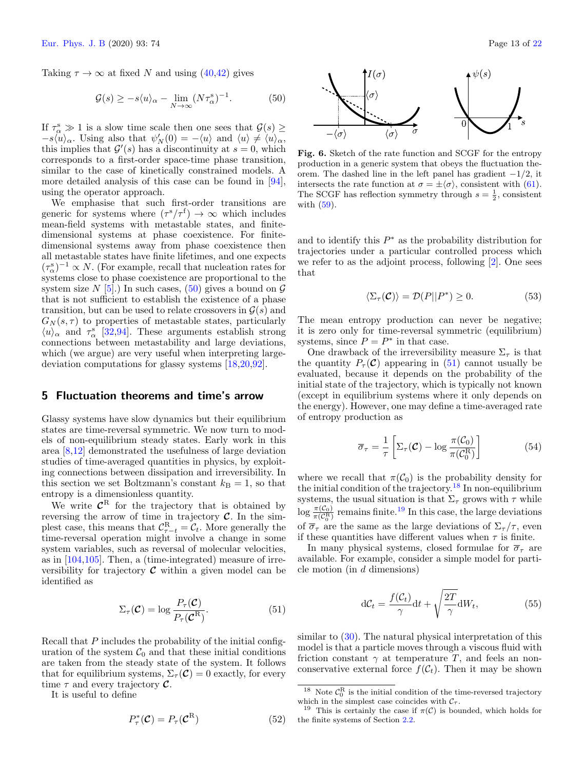Taking  $\tau \to \infty$  at fixed N and using [\(40,](#page-8-7)[42\)](#page-8-5) gives

<span id="page-12-1"></span>
$$
\mathcal{G}(s) \ge -s \langle u \rangle_{\alpha} - \lim_{N \to \infty} (N \tau_{\alpha}^{s})^{-1}.
$$
 (50)

If  $\tau_{\alpha}^s \gg 1$  is a slow time scale then one sees that  $\mathcal{G}(s) \geq$  $-s\langle u \rangle_\alpha$ . Using also that  $\psi'_N(0) = -\langle u \rangle$  and  $\langle u \rangle \neq \langle u \rangle_\alpha$ , this implies that  $\mathcal{G}'(s)$  has a discontinuity at  $s = 0$ , which corresponds to a first-order space-time phase transition, similar to the case of kinetically constrained models. A more detailed analysis of this case can be found in [\[94\]](#page-20-55), using the operator approach.

We emphasise that such first-order transitions are generic for systems where  $(\tau^s/\tau^f) \to \infty$  which includes mean-field systems with metastable states, and finitedimensional systems at phase coexistence. For finitedimensional systems away from phase coexistence then all metastable states have finite lifetimes, and one expects  $(\tau^s_\alpha)^{-1} \propto N$ . (For example, recall that nucleation rates for systems close to phase coexistence are proportional to the system size N [\[5\]](#page-19-3).) In such cases, [\(50\)](#page-12-1) gives a bound on  $\mathcal G$ that is not sufficient to establish the existence of a phase transition, but can be used to relate crossovers in  $\mathcal{G}(s)$  and  $G_N(s,\tau)$  to properties of metastable states, particularly  $\langle u \rangle_{\alpha}$  and  $\tau_{\alpha}^{s}$  [\[32](#page-20-2)[,94\]](#page-20-55). These arguments establish strong connections between metastability and large deviations, which (we argue) are very useful when interpreting largedeviation computations for glassy systems [\[18,](#page-19-23)[20,](#page-19-26)[92\]](#page-20-52).

## <span id="page-12-0"></span>5 Fluctuation theorems and time's arrow

Glassy systems have slow dynamics but their equilibrium states are time-reversal symmetric. We now turn to models of non-equilibrium steady states. Early work in this area [\[8](#page-19-24)[,12\]](#page-19-22) demonstrated the usefulness of large deviation studies of time-averaged quantities in physics, by exploiting connections between dissipation and irreversibility. In this section we set Boltzmann's constant  $k_B = 1$ , so that entropy is a dimensionless quantity.

We write  $\mathcal{C}^R$  for the trajectory that is obtained by reversing the arrow of time in trajectory  $\mathcal{C}$ . In the simplest case, this means that  $C_{\tau-t}^{\text{R}} = C_t$ . More generally the time-reversal operation might involve a change in some system variables, such as reversal of molecular velocities, as in [\[104](#page-21-6)[,105\]](#page-21-7). Then, a (time-integrated) measure of irreversibility for trajectory  $\mathcal C$  within a given model can be identified as

<span id="page-12-2"></span>
$$
\Sigma_{\tau}(\mathcal{C}) = \log \frac{P_{\tau}(\mathcal{C})}{P_{\tau}(\mathcal{C}^{\mathrm{R}})}.
$$
\n(51)

Recall that P includes the probability of the initial configuration of the system  $C_0$  and that these initial conditions are taken from the steady state of the system. It follows that for equilibrium systems,  $\Sigma_{\tau}(\mathcal{C}) = 0$  exactly, for every time  $\tau$  and every trajectory  $\mathcal{C}$ .

It is useful to define



<span id="page-12-7"></span>Fig. 6. Sketch of the rate function and SCGF for the entropy production in a generic system that obeys the fluctuation theorem. The dashed line in the left panel has gradient  $-1/2$ , it intersects the rate function at  $\sigma = \pm \langle \sigma \rangle$ , consistent with [\(61\)](#page-13-0). The SCGF has reflection symmetry through  $s = \frac{1}{2}$ , consistent with [\(59\)](#page-13-1).

and to identify this  $P^*$  as the probability distribution for trajectories under a particular controlled process which we refer to as the adjoint process, following [\[2\]](#page-19-10). One sees that

$$
\langle \Sigma_{\tau}(\mathcal{C}) \rangle = \mathcal{D}(P||P^*) \ge 0. \tag{53}
$$

The mean entropy production can never be negative; it is zero only for time-reversal symmetric (equilibrium) systems, since  $P = P^*$  in that case.

One drawback of the irreversibility measure  $\Sigma_{\tau}$  is that the quantity  $P_{\tau}(\mathcal{C})$  appearing in [\(51\)](#page-12-2) cannot usually be evaluated, because it depends on the probability of the initial state of the trajectory, which is typically not known (except in equilibrium systems where it only depends on the energy). However, one may define a time-averaged rate of entropy production as

<span id="page-12-5"></span>
$$
\overline{\sigma}_{\tau} = \frac{1}{\tau} \left[ \Sigma_{\tau}(\mathcal{C}) - \log \frac{\pi(\mathcal{C}_0)}{\pi(\mathcal{C}_0^R)} \right]
$$
(54)

where we recall that  $\pi(\mathcal{C}_0)$  is the probability density for the initial condition of the trajectory.[18](#page-12-3) In non-equilibrium systems, the usual situation is that  $\Sigma_{\tau}$  grows with  $\tau$  while  $\log \frac{\pi(C_0)}{\pi(C_0^R)}$  remains finite.<sup>[19](#page-12-4)</sup> In this case, the large deviations of  $\overline{\sigma}_{\tau}$  are the same as the large deviations of  $\Sigma_{\tau}/\tau$ , even if these quantities have different values when  $\tau$  is finite.

In many physical systems, closed formulae for  $\overline{\sigma}_{\tau}$  are available. For example, consider a simple model for particle motion (in d dimensions)

<span id="page-12-6"></span>
$$
dC_t = \frac{f(C_t)}{\gamma} dt + \sqrt{\frac{2T}{\gamma}} dW_t,
$$
\n(55)

similar to  $(30)$ . The natural physical interpretation of this model is that a particle moves through a viscous fluid with friction constant  $\gamma$  at temperature T, and feels an nonconservative external force  $f(\mathcal{C}_t)$ . Then it may be shown

<span id="page-12-3"></span><sup>&</sup>lt;sup>18</sup> Note  $C_0^R$  is the initial condition of the time-reversed trajectory which in the simplest case coincides with  $C_{\tau}$ .

<span id="page-12-4"></span><sup>&</sup>lt;sup>19</sup> This is certainly the case if  $\pi(\mathcal{C})$  is bounded, which holds for the finite systems of Section [2.2.](#page-2-0)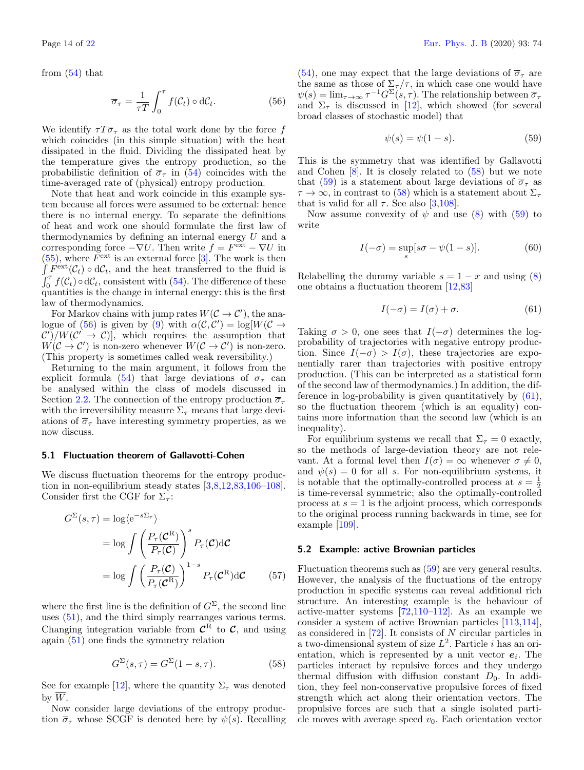from [\(54\)](#page-12-5) that

<span id="page-13-2"></span>
$$
\overline{\sigma}_{\tau} = \frac{1}{\tau T} \int_0^{\tau} f(\mathcal{C}_t) \circ d\mathcal{C}_t.
$$
 (56)

We identify  $\tau T \overline{\sigma}_{\tau}$  as the total work done by the force f which coincides (in this simple situation) with the heat dissipated in the fluid. Dividing the dissipated heat by the temperature gives the entropy production, so the probabilistic definition of  $\overline{\sigma}_{\tau}$  in [\(54\)](#page-12-5) coincides with the time-averaged rate of (physical) entropy production.

Note that heat and work coincide in this example system because all forces were assumed to be external: hence there is no internal energy. To separate the definitions of heat and work one should formulate the first law of thermodynamics by defining an internal energy U and a corresponding force  $-\nabla U$ . Then write  $f = F^{\text{ext}} - \nabla U$  in  $(55)$ , where  $F<sup>ext</sup>$  is an external force [\[3\]](#page-19-1). The work is then  $\int F^{\text{ext}}(\mathcal{C}_t) \circ d\mathcal{C}_t$ , and the heat transferred to the fluid is  $\int_0^{\tau} f(\mathcal{C}_t) \circ d\mathcal{C}_t$ , consistent with [\(54\)](#page-12-5). The difference of these quantities is the change in internal energy: this is the first law of thermodynamics.

For Markov chains with jump rates  $W(C \to C')$ , the ana-logue of [\(56\)](#page-13-2) is given by [\(9\)](#page-3-1) with  $\alpha(\mathcal{C}, \mathcal{C}') = \log[W(\mathcal{C} \to$  $\mathcal{C}'$  /W $(\mathcal{C}' \to \mathcal{C})$ , which requires the assumption that  $W(\mathcal{C} \to \mathcal{C}')$  is non-zero whenever  $W(\mathcal{C} \to \mathcal{C}')$  is non-zero. (This property is sometimes called weak reversibility.)

Returning to the main argument, it follows from the explicit formula [\(54\)](#page-12-5) that large deviations of  $\overline{\sigma}_{\tau}$  can be analysed within the class of models discussed in Section [2.2.](#page-2-0) The connection of the entropy production  $\bar{\sigma}_{\tau}$ with the irreversibility measure  $\Sigma_{\tau}$  means that large deviations of  $\bar{\sigma}_{\tau}$  have interesting symmetry properties, as we now discuss.

#### 5.1 Fluctuation theorem of Gallavotti-Cohen

We discuss fluctuation theorems for the entropy production in non-equilibrium steady states [\[3,](#page-19-1)[8,](#page-19-24)[12,](#page-19-22)[83](#page-20-43)[,106–](#page-21-8)[108\]](#page-21-9). Consider first the CGF for  $\Sigma_{\tau}$ :

$$
G^{\Sigma}(s,\tau) = \log \langle e^{-s\Sigma_{\tau}} \rangle
$$
  
=  $\log \int \left( \frac{P_{\tau}(\mathcal{C}^{\mathcal{R}})}{P_{\tau}(\mathcal{C})} \right)^{s} P_{\tau}(\mathcal{C}) d\mathcal{C}$   
=  $\log \int \left( \frac{P_{\tau}(\mathcal{C})}{P_{\tau}(\mathcal{C}^{\mathcal{R}})} \right)^{1-s} P_{\tau}(\mathcal{C}^{\mathcal{R}}) d\mathcal{C}$  (57)

where the first line is the definition of  $G^{\Sigma}$ , the second line uses [\(51\)](#page-12-2), and the third simply rearranges various terms. Changing integration variable from  $\mathcal{C}^{\text{R}}$  to  $\mathcal{C}$ , and using again [\(51\)](#page-12-2) one finds the symmetry relation

<span id="page-13-3"></span>
$$
G^{\Sigma}(s,\tau) = G^{\Sigma}(1-s,\tau). \tag{58}
$$

See for example [\[12\]](#page-19-22), where the quantity  $\Sigma_{\tau}$  was denoted by  $W$ .

Now consider large deviations of the entropy production  $\overline{\sigma}_{\tau}$  whose SCGF is denoted here by  $\psi(s)$ . Recalling [\(54\)](#page-12-5), one may expect that the large deviations of  $\overline{\sigma}_{\tau}$  are the same as those of  $\Sigma_{\tau}/\tau$ , in which case one would have  $\psi(s) = \lim_{\tau \to \infty} \tau^{-1} G^{\Sigma}(s, \tau)$ . The relationship between  $\overline{\sigma}_{\tau}$ and  $\Sigma_{\tau}$  is discussed in [\[12\]](#page-19-22), which showed (for several broad classes of stochastic model) that

<span id="page-13-1"></span>
$$
\psi(s) = \psi(1 - s). \tag{59}
$$

This is the symmetry that was identified by Gallavotti and Cohen [\[8\]](#page-19-24). It is closely related to [\(58\)](#page-13-3) but we note that [\(59\)](#page-13-1) is a statement about large deviations of  $\overline{\sigma}_{\tau}$  as  $\tau \to \infty$ , in contrast to [\(58\)](#page-13-3) which is a statement about  $\Sigma_{\tau}$ that is valid for all  $\tau$ . See also [\[3](#page-19-1)[,108\]](#page-21-9).

Now assume convexity of  $\psi$  and use [\(8\)](#page-2-6) with [\(59\)](#page-13-1) to write

$$
I(-\sigma) = \sup_{s} [s\sigma - \psi(1-s)].
$$
 (60)

Relabelling the dummy variable  $s = 1 - x$  and using [\(8\)](#page-2-6) one obtains a fluctuation theorem [\[12,](#page-19-22)[83\]](#page-20-43)

<span id="page-13-0"></span>
$$
I(-\sigma) = I(\sigma) + \sigma. \tag{61}
$$

Taking  $\sigma > 0$ , one sees that  $I(-\sigma)$  determines the logprobability of trajectories with negative entropy production. Since  $I(-\sigma) > I(\sigma)$ , these trajectories are exponentially rarer than trajectories with positive entropy production. (This can be interpreted as a statistical form of the second law of thermodynamics.) In addition, the difference in log-probability is given quantitatively by [\(61\)](#page-13-0), so the fluctuation theorem (which is an equality) contains more information than the second law (which is an inequality).

For equilibrium systems we recall that  $\Sigma_{\tau} = 0$  exactly, so the methods of large-deviation theory are not relevant. At a formal level then  $I(\sigma) = \infty$  whenever  $\sigma \neq 0$ , and  $\psi(s) = 0$  for all s. For non-equilibrium systems, it is notable that the optimally-controlled process at  $s = \frac{1}{2}$ is time-reversal symmetric; also the optimally-controlled process at  $s = 1$  is the adjoint process, which corresponds to the original process running backwards in time, see for example [\[109\]](#page-21-10).

#### 5.2 Example: active Brownian particles

Fluctuation theorems such as [\(59\)](#page-13-1) are very general results. However, the analysis of the fluctuations of the entropy production in specific systems can reveal additional rich structure. An interesting example is the behaviour of active-matter systems [\[72,](#page-20-34)[110–](#page-21-11)[112\]](#page-21-12). As an example we consider a system of active Brownian particles [\[113,](#page-21-13)[114\]](#page-21-14), as considered in  $[72]$ . It consists of N circular particles in a two-dimensional system of size  $L^2$ . Particle *i* has an orientation, which is represented by a unit vector  $e_i$ . The particles interact by repulsive forces and they undergo thermal diffusion with diffusion constant  $D_0$ . In addition, they feel non-conservative propulsive forces of fixed strength which act along their orientation vectors. The propulsive forces are such that a single isolated particle moves with average speed  $v_0$ . Each orientation vector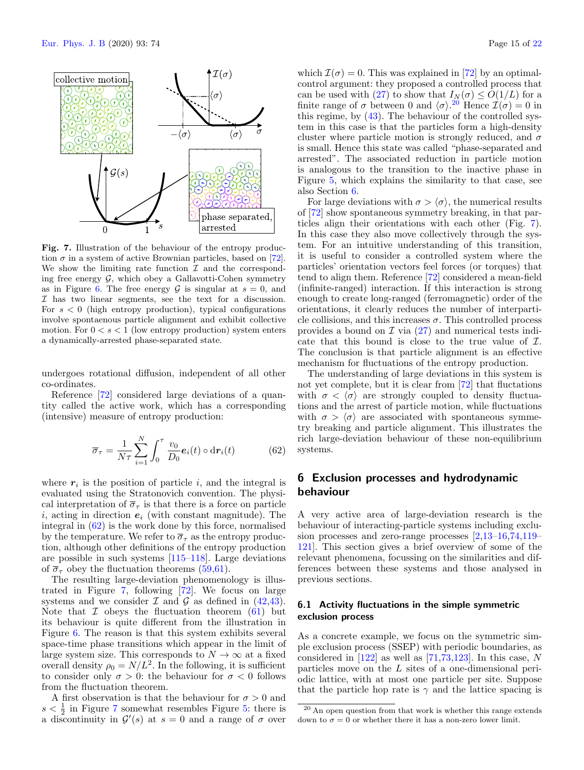

<span id="page-14-2"></span>Fig. 7. Illustration of the behaviour of the entropy production  $\sigma$  in a system of active Brownian particles, based on [\[72\]](#page-20-34). We show the limiting rate function  $\mathcal I$  and the corresponding free energy  $\mathcal{G}$ , which obey a Gallavotti-Cohen symmetry as in Figure [6.](#page-12-7) The free energy  $\mathcal G$  is singular at  $s=0$ , and I has two linear segments, see the text for a discussion. For  $s < 0$  (high entropy production), typical configurations involve spontaenous particle alignment and exhibit collective motion. For  $0 < s < 1$  (low entropy production) system enters a dynamically-arrested phase-separated state.

undergoes rotational diffusion, independent of all other co-ordinates.

Reference [\[72\]](#page-20-34) considered large deviations of a quantity called the active work, which has a corresponding (intensive) measure of entropy production:

<span id="page-14-1"></span>
$$
\overline{\sigma}_{\tau} = \frac{1}{N\tau} \sum_{i=1}^{N} \int_{0}^{\tau} \frac{v_0}{D_0} \mathbf{e}_i(t) \circ \mathrm{d}\mathbf{r}_i(t) \tag{62}
$$

where  $r_i$  is the position of particle i, and the integral is evaluated using the Stratonovich convention. The physical interpretation of  $\overline{\sigma}_{\tau}$  is that there is a force on particle i, acting in direction  $e_i$  (with constant magnitude). The integral in [\(62\)](#page-14-1) is the work done by this force, normalised by the temperature. We refer to  $\overline{\sigma}_{\tau}$  as the entropy production, although other definitions of the entropy production are possible in such systems [\[115](#page-21-15)[–118\]](#page-21-16). Large deviations of  $\overline{\sigma}_{\tau}$  obey the fluctuation theorems [\(59,](#page-13-1)[61\)](#page-13-0).

The resulting large-deviation phenomenology is illustrated in Figure [7,](#page-14-2) following [\[72\]](#page-20-34). We focus on large systems and we consider  $\mathcal I$  and  $\mathcal G$  as defined in [\(42](#page-8-5)[,43\)](#page-8-6). Note that  $\mathcal I$  obeys the fluctuation theorem [\(61\)](#page-13-0) but its behaviour is quite different from the illustration in Figure [6.](#page-12-7) The reason is that this system exhibits several space-time phase transitions which appear in the limit of large system size. This corresponds to  $N \to \infty$  at a fixed overall density  $\rho_0 = N/L^2$ . In the following, it is sufficient to consider only  $\sigma > 0$ : the behaviour for  $\sigma < 0$  follows from the fluctuation theorem.

A first observation is that the behaviour for  $\sigma > 0$  and  $s < \frac{1}{2}$  in Figure [7](#page-14-2) somewhat resembles Figure [5:](#page-11-1) there is a discontinuity in  $\mathcal{G}'(s)$  at  $s=0$  and a range of  $\sigma$  over which  $\mathcal{I}(\sigma) = 0$ . This was explained in [\[72\]](#page-20-34) by an optimalcontrol argument: they proposed a controlled process that can be used with [\(27\)](#page-5-6) to show that  $I_N(\sigma) \leq O(1/L)$  for a finite range of  $\sigma$  between 0 and  $\langle \sigma \rangle$ .<sup>[20](#page-14-3)</sup> Hence  $\mathcal{I}(\sigma) = 0$  in this regime, by [\(43\)](#page-8-6). The behaviour of the controlled system in this case is that the particles form a high-density cluster where particle motion is strongly reduced, and  $\sigma$ is small. Hence this state was called "phase-separated and arrested". The associated reduction in particle motion is analogous to the transition to the inactive phase in Figure [5,](#page-11-1) which explains the similarity to that case, see also Section [6.](#page-14-0)

For large deviations with  $\sigma > \langle \sigma \rangle$ , the numerical results of [\[72\]](#page-20-34) show spontaneous symmetry breaking, in that particles align their orientations with each other (Fig. [7\)](#page-14-2). In this case they also move collectively through the system. For an intuitive understanding of this transition, it is useful to consider a controlled system where the particles' orientation vectors feel forces (or torques) that tend to align them. Reference [\[72\]](#page-20-34) considered a mean-field (infinite-ranged) interaction. If this interaction is strong enough to create long-ranged (ferromagnetic) order of the orientations, it clearly reduces the number of interparticle collisions, and this increases  $\sigma$ . This controlled process provides a bound on  $\mathcal I$  via  $(27)$  and numerical tests indicate that this bound is close to the true value of  $\mathcal{I}$ . The conclusion is that particle alignment is an effective mechanism for fluctuations of the entropy production.

The understanding of large deviations in this system is not yet complete, but it is clear from [\[72\]](#page-20-34) that fluctations with  $\sigma < \langle \sigma \rangle$  are strongly coupled to density fluctuations and the arrest of particle motion, while fluctuations with  $\sigma > \langle \sigma \rangle$  are associated with spontaneous symmetry breaking and particle alignment. This illustrates the rich large-deviation behaviour of these non-equilibrium systems.

# <span id="page-14-0"></span>6 Exclusion processes and hydrodynamic behaviour

A very active area of large-deviation research is the behaviour of interacting-particle systems including exclusion processes and zero-range processes [\[2,](#page-19-10)[13](#page-19-11)[–16](#page-19-9)[,74,](#page-20-36)[119–](#page-21-17) [121\]](#page-21-18). This section gives a brief overview of some of the relevant phenomena, focussing on the similarities and differences between these systems and those analysed in previous sections.

## 6.1 Activity fluctuations in the simple symmetric exclusion process

As a concrete example, we focus on the symmetric simple exclusion process (SSEP) with periodic boundaries, as considered in  $[122]$  as well as  $[71,73,123]$  $[71,73,123]$  $[71,73,123]$ . In this case, N particles move on the L sites of a one-dimensional periodic lattice, with at most one particle per site. Suppose that the particle hop rate is  $\gamma$  and the lattice spacing is

<span id="page-14-3"></span><sup>20</sup> An open question from that work is whether this range extends down to  $\sigma = 0$  or whether there it has a non-zero lower limit.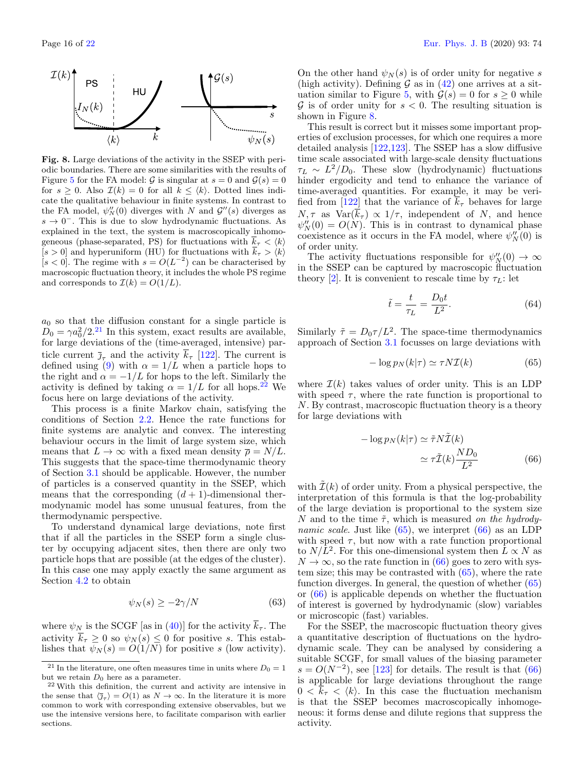

<span id="page-15-2"></span>Fig. 8. Large deviations of the activity in the SSEP with periodic boundaries. There are some similarities with the results of Figure [5](#page-11-1) for the FA model:  $\mathcal G$  is singular at  $s = 0$  and  $\mathcal G(s) = 0$ for  $s \geq 0$ . Also  $\mathcal{I}(k) = 0$  for all  $k \leq \langle k \rangle$ . Dotted lines indicate the qualitative behaviour in finite systems. In contrast to the FA model,  $\psi_N''(0)$  diverges with N and  $\mathcal{G}''(s)$  diverges as  $s \to 0^-$ . This is due to slow hydrodynamic fluctuations. As explained in the text, the system is macroscopically inhomogeneous (phase-separated, PS) for fluctuations with  $\bar{k}_{\tau} < \langle k \rangle$  $[s > 0]$  and hyperuniform (HU) for fluctuations with  $k<sub>\tau</sub> > \langle k \rangle$ [ $s < 0$ ]. The regime with  $s = O(L^{-2})$  can be characterised by macroscopic fluctuation theory, it includes the whole PS regime and corresponds to  $\mathcal{I}(k) = O(1/L)$ .

 $a_0$  so that the diffusion constant for a single particle is  $D_0 = \gamma a_0^2 / 2$ .<sup>[21](#page-15-0)</sup> In this system, exact results are available, for large deviations of the (time-averaged, intensive) particle current  $\bar{\jmath}_{\tau}$  and the activity  $\bar{k}_{\tau}$  [\[122\]](#page-21-19). The current is defined using [\(9\)](#page-3-1) with  $\alpha = 1/L$  when a particle hops to the right and  $\alpha = -1/L$  for hops to the left. Similarly the activity is defined by taking  $\alpha = 1/L$  for all hops.<sup>[22](#page-15-1)</sup> We focus here on large deviations of the activity.

This process is a finite Markov chain, satisfying the conditions of Section [2.2.](#page-2-0) Hence the rate functions for finite systems are analytic and convex. The interesting behaviour occurs in the limit of large system size, which means that  $L \to \infty$  with a fixed mean density  $\overline{\rho} = N/L$ . This suggests that the space-time thermodynamic theory of Section [3.1](#page-7-4) should be applicable. However, the number of particles is a conserved quantity in the SSEP, which means that the corresponding  $(d+1)$ -dimensional thermodynamic model has some unusual features, from the thermodynamic perspective.

To understand dynamical large deviations, note first that if all the particles in the SSEP form a single cluster by occupying adjacent sites, then there are only two particle hops that are possible (at the edges of the cluster). In this case one may apply exactly the same argument as Section [4.2](#page-10-1) to obtain

$$
\psi_N(s) \ge -2\gamma/N\tag{63}
$$

where  $\psi_N$  is the SCGF [as in [\(40\)](#page-8-7)] for the activity  $\overline{k}_{\tau}$ . The activity  $k_{\tau} \geq 0$  so  $\psi_N(s) \leq 0$  for positive s. This establishes that  $\psi_N(s) = O(1/N)$  for positive s (low activity).

On the other hand  $\psi_N(s)$  is of order unity for negative s (high activity). Defining  $\mathcal G$  as in [\(42\)](#page-8-5) one arrives at a sit-uation similar to Figure [5,](#page-11-1) with  $\mathcal{G}(s) = 0$  for  $s > 0$  while  $\mathcal G$  is of order unity for  $s < 0$ . The resulting situation is shown in Figure [8.](#page-15-2)

This result is correct but it misses some important properties of exclusion processes, for which one requires a more detailed analysis [\[122,](#page-21-19)[123\]](#page-21-20). The SSEP has a slow diffusive time scale associated with large-scale density fluctuations  $\tau_L \sim L^2/D_0$ . These slow (hydrodynamic) fluctuations hinder ergodicity and tend to enhance the variance of time-averaged quantities. For example, it may be veri-fied from [\[122\]](#page-21-19) that the variance of  $k<sub>\tau</sub>$  behaves for large  $N, \tau$  as  $Var(\overline{k}_{\tau}) \propto 1/\tau$ , independent of N, and hence  $\psi_N''(0) = O(N)$ . This is in contrast to dynamical phase coexistence as it occurs in the FA model, where  $\psi_N''(0)$  is of order unity.

The activity fluctuations responsible for  $\psi''_N(0) \to \infty$ in the SSEP can be captured by macroscopic fluctuation theory [\[2\]](#page-19-10). It is convenient to rescale time by  $\tau_L$ : let

$$
\tilde{t} = \frac{t}{\tau_L} = \frac{D_0 t}{L^2}.\tag{64}
$$

Similarly  $\tilde{\tau} = D_0 \tau / L^2$ . The space-time thermodynamics approach of Section [3.1](#page-7-4) focusses on large deviations with

<span id="page-15-3"></span>
$$
-\log p_N(k|\tau) \simeq \tau N \mathcal{I}(k) \tag{65}
$$

where  $\mathcal{I}(k)$  takes values of order unity. This is an LDP with speed  $\tau$ , where the rate function is proportional to N. By contrast, macroscopic fluctuation theory is a theory for large deviations with

<span id="page-15-4"></span>
$$
-\log p_N(k|\tau) \simeq \tilde{\tau} N \tilde{\mathcal{I}}(k)
$$

$$
\simeq \tau \tilde{\mathcal{I}}(k) \frac{N D_0}{L^2}
$$
(66)

with  $\mathcal{I}(k)$  of order unity. From a physical perspective, the interpretation of this formula is that the log-probability of the large deviation is proportional to the system size N and to the time  $\tilde{\tau}$ , which is measured on the hydrodynamic scale. Just like  $(65)$ , we interpret  $(66)$  as an LDP with speed  $\tau$ , but now with a rate function proportional to  $N/L^2$ . For this one-dimensional system then  $L \propto N$  as  $N \to \infty$ , so the rate function in [\(66\)](#page-15-4) goes to zero with system size; this may be contrasted with [\(65\)](#page-15-3), where the rate function diverges. In general, the question of whether [\(65\)](#page-15-3) or [\(66\)](#page-15-4) is applicable depends on whether the fluctuation of interest is governed by hydrodynamic (slow) variables or microscopic (fast) variables.

For the SSEP, the macroscopic fluctuation theory gives a quantitative description of fluctuations on the hydrodynamic scale. They can be analysed by considering a suitable SCGF, for small values of the biasing parameter  $s = O(N^{-2})$ , see [\[123\]](#page-21-20) for details. The result is that [\(66\)](#page-15-4) is applicable for large deviations throughout the range  $0 < k_{\tau} < \langle k \rangle$ . In this case the fluctuation mechanism is that the SSEP becomes macroscopically inhomogeneous: it forms dense and dilute regions that suppress the activity.

<span id="page-15-0"></span><sup>&</sup>lt;sup>21</sup> In the literature, one often measures time in units where  $D_0 = 1$ but we retain  $D_0$  here as a parameter.

<span id="page-15-1"></span><sup>22</sup> With this definition, the current and activity are intensive in the sense that  $\langle \bar{\jmath}_{\tau} \rangle = O(1)$  as  $N \to \infty$ . In the literature it is more common to work with corresponding extensive observables, but we use the intensive versions here, to facilitate comparison with earlier sections.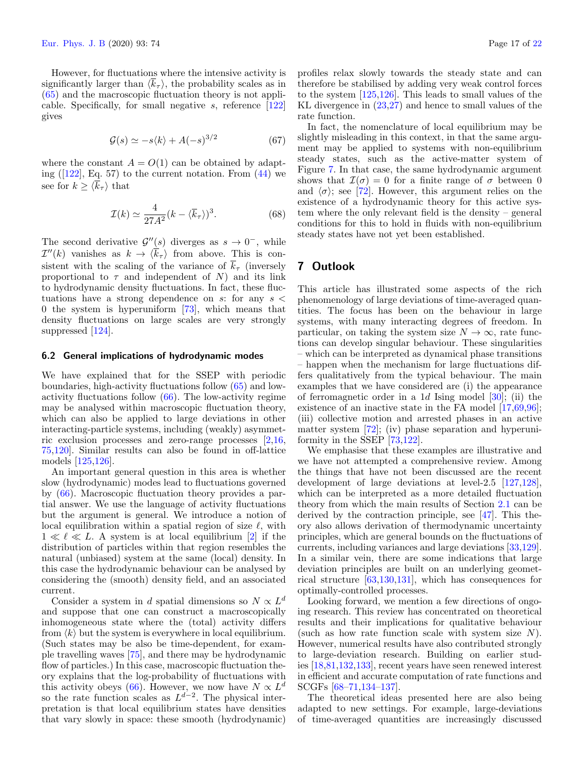However, for fluctuations where the intensive activity is significantly larger than  $\langle k_{\tau} \rangle$ , the probability scales as in [\(65\)](#page-15-3) and the macroscopic fluctuation theory is not applicable. Specifically, for small negative s, reference [\[122\]](#page-21-19) gives

$$
\mathcal{G}(s) \simeq -s\langle k \rangle + A(-s)^{3/2} \tag{67}
$$

where the constant  $A = O(1)$  can be obtained by adapting  $(122)$ , Eq. 57) to the current notation. From  $(44)$  we see for  $k \geq \langle \overline{k}_{\tau} \rangle$  that

$$
\mathcal{I}(k) \simeq \frac{4}{27A^2} (k - \langle \overline{k}_{\tau} \rangle)^3. \tag{68}
$$

The second derivative  $\mathcal{G}''(s)$  diverges as  $s \to 0^-$ , while  $\mathcal{I}''(k)$  vanishes as  $k \to \langle \overline{k}_{\tau} \rangle$  from above. This is consistent with the scaling of the variance of  $\overline{k}_{\tau}$  (inversely proportional to  $\tau$  and independent of N) and its link to hydrodynamic density fluctuations. In fact, these fluctuations have a strong dependence on s: for any  $s <$ 0 the system is hyperuniform [\[73\]](#page-20-35), which means that density fluctuations on large scales are very strongly suppressed [\[124\]](#page-21-21).

#### 6.2 General implications of hydrodynamic modes

We have explained that for the SSEP with periodic boundaries, high-activity fluctuations follow [\(65\)](#page-15-3) and lowactivity fluctuations follow [\(66\)](#page-15-4). The low-activity regime may be analysed within macroscopic fluctuation theory, which can also be applied to large deviations in other interacting-particle systems, including (weakly) asymmetric exclusion processes and zero-range processes [\[2,](#page-19-10)[16,](#page-19-9) [75](#page-20-37)[,120\]](#page-21-22). Similar results can also be found in off-lattice models [\[125,](#page-21-23)[126\]](#page-21-24).

An important general question in this area is whether slow (hydrodynamic) modes lead to fluctuations governed by [\(66\)](#page-15-4). Macroscopic fluctuation theory provides a partial answer. We use the language of activity fluctuations but the argument is general. We introduce a notion of local equilibration within a spatial region of size  $\ell$ , with  $1 \ll \ell \ll L$ . A system is at local equilibrium [\[2\]](#page-19-10) if the distribution of particles within that region resembles the natural (unbiased) system at the same (local) density. In this case the hydrodynamic behaviour can be analysed by considering the (smooth) density field, and an associated current.

Consider a system in d spatial dimensions so  $N \propto L^d$ and suppose that one can construct a macroscopically inhomogeneous state where the (total) activity differs from  $\langle k \rangle$  but the system is everywhere in local equilibrium. (Such states may be also be time-dependent, for example travelling waves [\[75\]](#page-20-37), and there may be hydrodynamic flow of particles.) In this case, macroscopic fluctuation theory explains that the log-probability of fluctuations with this activity obeys [\(66\)](#page-15-4). However, we now have  $N \propto L^d$ so the rate function scales as  $L^{d-2}$ . The physical interpretation is that local equilibrium states have densities that vary slowly in space: these smooth (hydrodynamic)

profiles relax slowly towards the steady state and can therefore be stabilised by adding very weak control forces to the system [\[125](#page-21-23)[,126\]](#page-21-24). This leads to small values of the KL divergence in [\(23](#page-5-3)[,27\)](#page-5-6) and hence to small values of the rate function.

In fact, the nomenclature of local equilibrium may be slightly misleading in this context, in that the same argument may be applied to systems with non-equilibrium steady states, such as the active-matter system of Figure [7.](#page-14-2) In that case, the same hydrodynamic argument shows that  $\mathcal{I}(\sigma) = 0$  for a finite range of  $\sigma$  between 0 and  $\langle \sigma \rangle$ ; see [\[72\]](#page-20-34). However, this argument relies on the existence of a hydrodynamic theory for this active system where the only relevant field is the density – general conditions for this to hold in fluids with non-equilibrium steady states have not yet been established.

# <span id="page-16-0"></span>7 Outlook

This article has illustrated some aspects of the rich phenomenology of large deviations of time-averaged quantities. The focus has been on the behaviour in large systems, with many interacting degrees of freedom. In particular, on taking the system size  $N \to \infty$ , rate functions can develop singular behaviour. These singularities – which can be interpreted as dynamical phase transitions – happen when the mechanism for large fluctuations differs qualitatively from the typical behaviour. The main examples that we have considered are (i) the appearance of ferromagnetic order in a 1d Ising model  $[30]$ ; (ii) the existence of an inactive state in the FA model  $[17,69,96]$  $[17,69,96]$  $[17,69,96]$ ; (iii) collective motion and arrested phases in an active matter system [\[72\]](#page-20-34); (iv) phase separation and hyperuniformity in the SSEP [\[73](#page-20-35)[,122\]](#page-21-19).

We emphasise that these examples are illustrative and we have not attempted a comprehensive review. Among the things that have not been discussed are the recent development of large deviations at level-2.5 [\[127,](#page-21-25)[128\]](#page-21-26), which can be interpreted as a more detailed fluctuation theory from which the main results of Section [2.1](#page-1-3) can be derived by the contraction principle, see [\[47\]](#page-20-15). This theory also allows derivation of thermodynamic uncertainty principles, which are general bounds on the fluctuations of currents, including variances and large deviations [\[33,](#page-20-3)[129\]](#page-21-27). In a similar vein, there are some indications that large deviation principles are built on an underlying geometrical structure [\[63,](#page-20-29)[130,](#page-21-28)[131\]](#page-21-29), which has consequences for optimally-controlled processes.

Looking forward, we mention a few directions of ongoing research. This review has concentrated on theoretical results and their implications for qualitative behaviour (such as how rate function scale with system size  $N$ ). However, numerical results have also contributed strongly to large-deviation research. Building on earlier studies [\[18,](#page-19-23)[81](#page-20-41)[,132](#page-21-30)[,133\]](#page-21-31), recent years have seen renewed interest in efficient and accurate computation of rate functions and SCGFs [\[68–](#page-20-33)[71,](#page-20-58)[134](#page-21-32)[–137\]](#page-21-33).

The theoretical ideas presented here are also being adapted to new settings. For example, large-deviations of time-averaged quantities are increasingly discussed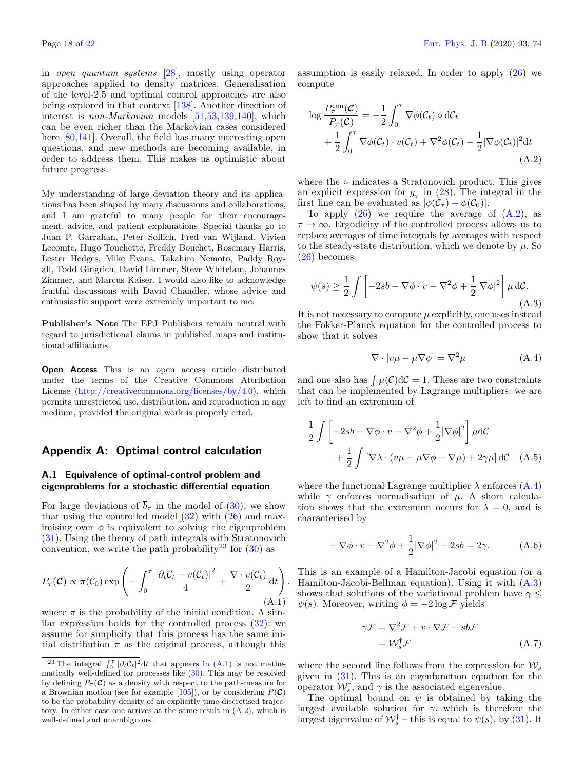in open quantum systems [\[28\]](#page-19-19), mostly using operator approaches applied to density matrices. Generalisation of the level-2.5 and optimal control approaches are also being explored in that context [\[138\]](#page-21-34). Another direction of interest is non-Markovian models [\[51,](#page-20-18)[53](#page-20-59)[,139,](#page-21-35)[140\]](#page-21-36), which can be even richer than the Markovian cases considered here  $[80,141]$  $[80,141]$ . Overall, the field has many interesting open questions, and new methods are becoming available, in order to address them. This makes us optimistic about future progress.

My understanding of large deviation theory and its applications has been shaped by many discussions and collaborations, and I am grateful to many people for their encouragement, advice, and patient explanations. Special thanks go to Juan P. Garrahan, Peter Sollich, Fred van Wijland, Vivien Lecomte, Hugo Touchette, Freddy Bouchet, Rosemary Harris, Lester Hedges, Mike Evans, Takahiro Nemoto, Paddy Royall, Todd Gingrich, David Limmer, Steve Whitelam, Johannes Zimmer, and Marcus Kaiser. I would also like to acknowledge fruitful discussions with David Chandler, whose advice and enthusiastic support were extremely important to me.

Publisher's Note The EPJ Publishers remain neutral with regard to jurisdictional claims in published maps and institutional affiliations.

Open Access This is an open access article distributed under the terms of the Creative Commons Attribution License [\(http://creativecommons.org/licenses/by/4.0\)](http://creativecommons.org/licenses/by/4.0), which permits unrestricted use, distribution, and reproduction in any medium, provided the original work is properly cited.

## <span id="page-17-0"></span>Appendix A: Optimal control calculation

## A.1 Equivalence of optimal-control problem and eigenproblems for a stochastic differential equation

For large deviations of  $\bar{b}_{\tau}$  in the model of [\(30\)](#page-6-3), we show that using the controlled model  $(32)$  with  $(26)$  and maximising over  $\phi$  is equivalent to solving the eigenproblem [\(31\)](#page-6-0). Using the theory of path integrals with Stratonovich convention, we write the path probability<sup>[23](#page-17-3)</sup> for  $(30)$  as

<span id="page-17-4"></span>
$$
P_{\tau}(\mathcal{C}) \propto \pi(\mathcal{C}_0) \exp\left(-\int_0^{\tau} \frac{|\partial_t \mathcal{C}_t - v(\mathcal{C}_t)|^2}{4} + \frac{\nabla \cdot v(\mathcal{C}_t)}{2} dt\right)
$$
(A.1)

.

where  $\pi$  is the probability of the initial condition. A similar expression holds for the controlled process [\(32\)](#page-6-6): we assume for simplicity that this process has the same initial distribution  $\pi$  as the original process, although this

assumption is easily relaxed. In order to apply  $(26)$  we compute

<span id="page-17-5"></span>
$$
\log \frac{P_{\tau}^{\text{con}}(\mathcal{C})}{P_{\tau}(\mathcal{C})} = -\frac{1}{2} \int_0^{\tau} \nabla \phi(\mathcal{C}_t) \circ d\mathcal{C}_t + \frac{1}{2} \int_0^{\tau} \nabla \phi(\mathcal{C}_t) \cdot v(\mathcal{C}_t) + \nabla^2 \phi(\mathcal{C}_t) - \frac{1}{2} |\nabla \phi(\mathcal{C}_t)|^2 dt
$$
\n(A.2)

where the  $\circ$  indicates a Stratonovich product. This gives an explicit expression for  $\overline{g}_{\tau}$  in [\(28\)](#page-6-8). The integral in the first line can be evaluated as  $[\phi(\mathcal{C}_{\tau}) - \phi(\mathcal{C}_{0})]$ .

To apply  $(26)$  we require the average of  $(A.2)$ , as  $\tau \to \infty$ . Ergodicity of the controlled process allows us to replace averages of time integrals by averages with respect to the steady-state distribution, which we denote by  $\mu$ . So [\(26\)](#page-5-8) becomes

<span id="page-17-2"></span>
$$
\psi(s) \ge \frac{1}{2} \int \left[ -2sb - \nabla \phi \cdot v - \nabla^2 \phi + \frac{1}{2} |\nabla \phi|^2 \right] \mu \, d\mathcal{C}.\tag{A.3}
$$

It is not necessary to compute  $\mu$  explicitly, one uses instead the Fokker-Planck equation for the controlled process to show that it solves

<span id="page-17-6"></span>
$$
\nabla \cdot \left[ v\mu - \mu \nabla \phi \right] = \nabla^2 \mu \tag{A.4}
$$

and one also has  $\int \mu(\mathcal{C}) d\mathcal{C} = 1$ . These are two constraints that can be implemented by Lagrange multipliers: we are left to find an extremum of

$$
\frac{1}{2} \int \left[ -2sb - \nabla \phi \cdot v - \nabla^2 \phi + \frac{1}{2} |\nabla \phi|^2 \right] \mu dC
$$
  
+ 
$$
\frac{1}{2} \int \left[ \nabla \lambda \cdot (v\mu - \mu \nabla \phi - \nabla \mu) + 2\gamma \mu \right] dC \quad (A.5)
$$

where the functional Lagrange multiplier  $\lambda$  enforces  $(A.4)$ while  $\gamma$  enforces normalisation of  $\mu$ . A short calculation shows that the extremum occurs for  $\lambda = 0$ , and is characterised by

<span id="page-17-7"></span>
$$
-\nabla\phi \cdot v - \nabla^2\phi + \frac{1}{2}|\nabla\phi|^2 - 2sb = 2\gamma.
$$
 (A.6)

This is an example of a Hamilton-Jacobi equation (or a Hamilton-Jacobi-Bellman equation). Using it with [\(A.3\)](#page-17-2) shows that solutions of the variational problem have  $\gamma \leq$  $\psi(s)$ . Moreover, writing  $\phi = -2 \log \mathcal{F}$  yields

<span id="page-17-1"></span>
$$
\gamma \mathcal{F} = \nabla^2 \mathcal{F} + v \cdot \nabla \mathcal{F} - sb\mathcal{F}
$$

$$
= \mathcal{W}_s^{\dagger} \mathcal{F}
$$
(A.7)

where the second line follows from the expression for  $\mathcal{W}_s$ given in [\(31\)](#page-6-0). This is an eigenfunction equation for the operator  $W_s^{\dagger}$ , and  $\gamma$  is the associated eigenvalue.

The optimal bound on  $\psi$  is obtained by taking the largest available solution for  $\gamma$ , which is therefore the largest eigenvalue of  $\mathcal{W}_s^{\dagger}$  – this is equal to  $\psi(s)$ , by [\(31\)](#page-6-0). It

<span id="page-17-3"></span><sup>&</sup>lt;sup>23</sup> The integral  $\int_0^{\tau} |\partial_t C_t|^2 dt$  that appears in [\(A.1\)](#page-17-4) is not mathematically well-defined for processes like [\(30\)](#page-6-3). This may be resolved by defining  $P_{\tau}(\mathcal{C})$  as a density with respect to the path-measure for a Brownian motion (see for example [\[105\]](#page-21-7)), or by considering  $P(\mathcal{C})$ to be the probability density of an explicitly time-discretised trajectory. In either case one arrives at the same result in  $(A.2)$ , which is well-defined and unambiguous.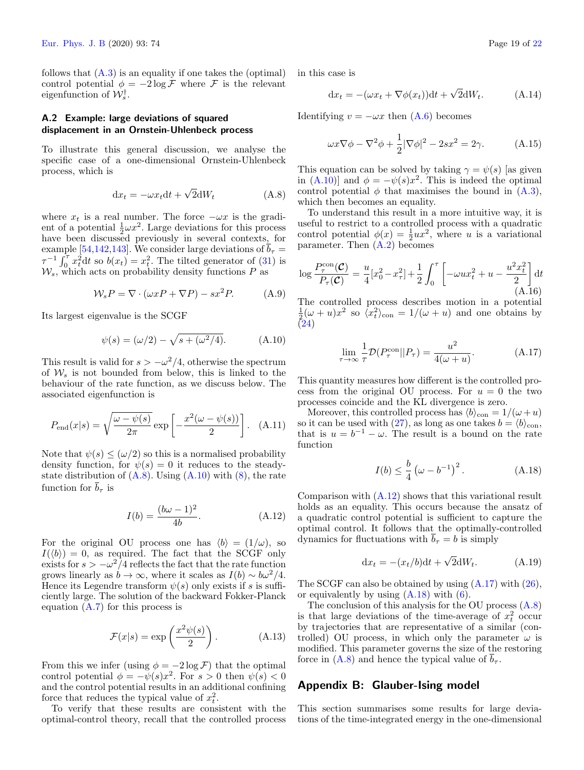follows that  $(A.3)$  is an equality if one takes the (optimal) control potential  $\phi = -2 \log \mathcal{F}$  where  $\mathcal F$  is the relevant eigenfunction of  $\mathcal{W}_s^{\dagger}$ .

## A.2 Example: large deviations of squared displacement in an Ornstein-Uhlenbeck process

To illustrate this general discussion, we analyse the specific case of a one-dimensional Ornstein-Uhlenbeck process, which is

<span id="page-18-1"></span>
$$
dx_t = -\omega x_t dt + \sqrt{2}dW_t
$$
 (A.8)

where  $x_t$  is a real number. The force  $-\omega x$  is the gradient of a potential  $\frac{1}{2}\omega x^2$ . Large deviations for this process  $\frac{1}{2}$  have been discussed previously in several contexts, for example [\[54](#page-20-19)[,142,](#page-21-38)[143\]](#page-21-39). We consider large deviations of  $\overline{b}_{\tau} =$  $\tau^{-1} \int_0^{\tau} x_t^2 dt$  so  $b(x_t) = x_t^2$ . The tilted generator of [\(31\)](#page-6-0) is  $\mathcal{W}_s$ , which acts on probability density functions P as

$$
\mathcal{W}_s P = \nabla \cdot (\omega x P + \nabla P) - sx^2 P. \tag{A.9}
$$

Its largest eigenvalue is the SCGF

<span id="page-18-2"></span>
$$
\psi(s) = (\omega/2) - \sqrt{s + (\omega^2/4)}.
$$
 (A.10)

This result is valid for  $s > -\omega^2/4$ , otherwise the spectrum of  $\mathcal{W}_s$  is not bounded from below, this is linked to the behaviour of the rate function, as we discuss below. The associated eigenfunction is

$$
P_{\text{end}}(x|s) = \sqrt{\frac{\omega - \psi(s)}{2\pi}} \exp\left[-\frac{x^2(\omega - \psi(s))}{2}\right]. \quad \text{(A.11)}
$$

Note that  $\psi(s) \leq (\omega/2)$  so this is a normalised probability density function, for  $\psi(s) = 0$  it reduces to the steadystate distribution of  $(A.8)$ . Using  $(A.10)$  with  $(8)$ , the rate function for  $\bar{b}_{\tau}$  is

<span id="page-18-3"></span>
$$
I(b) = \frac{(b\omega - 1)^2}{4b}.
$$
 (A.12)

For the original OU process one has  $\langle b \rangle = (1/\omega)$ , so  $I(\langle b \rangle) = 0$ , as required. The fact that the SCGF only exists for  $s > -\omega^2/4$  reflects the fact that the rate function grows linearly as  $b \to \infty$ , where it scales as  $I(b) \sim b\omega^2/4$ . Hence its Legendre transform  $\psi(s)$  only exists if s is sufficiently large. The solution of the backward Fokker-Planck equation [\(A.7\)](#page-17-1) for this process is

$$
\mathcal{F}(x|s) = \exp\left(\frac{x^2\psi(s)}{2}\right). \tag{A.13}
$$

From this we infer (using  $\phi = -2 \log \mathcal{F}$ ) that the optimal control potential  $\phi = -\psi(s)x^2$ . For  $s > 0$  then  $\psi(s) < 0$ and the control potential results in an additional confining force that reduces the typical value of  $x_t^2$ .

To verify that these results are consistent with the optimal-control theory, recall that the controlled process in this case is

$$
dx_t = -(\omega x_t + \nabla \phi(x_t))dt + \sqrt{2}dW_t.
$$
 (A.14)

Identifying  $v = -\omega x$  then  $(A.6)$  becomes

$$
\omega x \nabla \phi - \nabla^2 \phi + \frac{1}{2} |\nabla \phi|^2 - 2sx^2 = 2\gamma.
$$
 (A.15)

This equation can be solved by taking  $\gamma = \psi(s)$  [as given in  $(A.10)$  and  $\phi = -\psi(s)x^2$ . This is indeed the optimal control potential  $\phi$  that maximises the bound in  $(A.3)$ , which then becomes an equality.

To understand this result in a more intuitive way, it is useful to restrict to a controlled process with a quadratic control potential  $\phi(x) = \frac{1}{2}ux^2$ , where u is a variational parameter. Then [\(A.2\)](#page-17-5) becomes

$$
\log \frac{P_{\tau}^{\text{con}}(\mathcal{C})}{P_{\tau}(\mathcal{C})} = \frac{u}{4} [x_0^2 - x_{\tau}^2] + \frac{1}{2} \int_0^{\tau} \left[ -\omega u x_t^2 + u - \frac{u^2 x_t^2}{2} \right] dt
$$
\n(A.16)

The controlled process describes motion in a potential  $\frac{1}{2}(\omega+u)x^2$  so  $\langle x_t^2 \rangle_{\text{con}} = 1/(\omega+u)$  and one obtains by [\(24\)](#page-5-4)

<span id="page-18-4"></span>
$$
\lim_{\tau \to \infty} \frac{1}{\tau} \mathcal{D}(P_{\tau}^{\text{con}} || P_{\tau}) = \frac{u^2}{4(\omega + u)}.
$$
\n(A.17)

This quantity measures how different is the controlled process from the original OU process. For  $u = 0$  the two processes coincide and the KL divergence is zero.

Moreover, this controlled process has  $\langle b \rangle_{\text{con}} = 1/(\omega + u)$ so it can be used with [\(27\)](#page-5-6), as long as one takes  $b = \langle b \rangle_{\text{con}}$ , that is  $u = b^{-1} - \omega$ . The result is a bound on the rate function

<span id="page-18-5"></span>
$$
I(b) \leq \frac{b}{4} \left(\omega - b^{-1}\right)^2. \tag{A.18}
$$

Comparison with [\(A.12\)](#page-18-3) shows that this variational result holds as an equality. This occurs because the ansatz of a quadratic control potential is sufficient to capture the optimal control. It follows that the optimally-controlled dynamics for fluctuations with  $\overline{b}_{\tau} = b$  is simply

$$
\mathrm{d}x_t = -(x_t/b)\mathrm{d}t + \sqrt{2}\mathrm{d}W_t. \tag{A.19}
$$

The SCGF can also be obtained by using [\(A.17\)](#page-18-4) with [\(26\)](#page-5-8), or equivalently by using  $(A.18)$  with  $(6)$ .

The conclusion of this analysis for the OU process [\(A.8\)](#page-18-1) is that large deviations of the time-average of  $x_t^2$  occur by trajectories that are representative of a similar (controlled) OU process, in which only the parameter  $\omega$  is modified. This parameter governs the size of the restoring force in  $(A.8)$  and hence the typical value of  $b_{\tau}$ .

## <span id="page-18-0"></span>Appendix B: Glauber-Ising model

This section summarises some results for large deviations of the time-integrated energy in the one-dimensional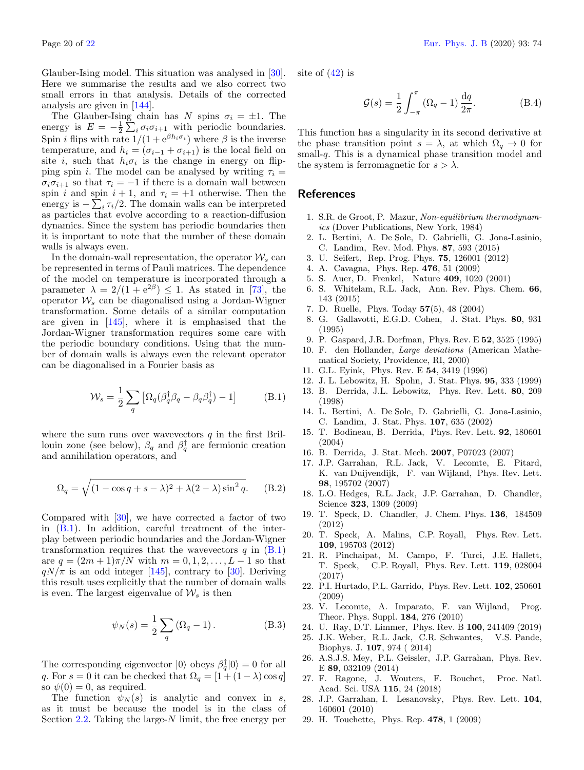Glauber-Ising model. This situation was analysed in [\[30\]](#page-20-0). Here we summarise the results and we also correct two small errors in that analysis. Details of the corrected analysis are given in [\[144\]](#page-21-40).

The Glauber-Ising chain has N spins  $\sigma_i = \pm 1$ . The energy is  $E = -\frac{1}{2} \sum_i \sigma_i \sigma_{i+1}$  with periodic boundaries. Spin *i* flips with rate  $1/(1 + e^{\beta h_i \sigma_i})$  where  $\beta$  is the inverse temperature, and  $h_i = (\sigma_{i-1} + \sigma_{i+1})$  is the local field on site *i*, such that  $h_i \sigma_i$  is the change in energy on flipping spin i. The model can be analysed by writing  $\tau_i =$  $\sigma_i \sigma_{i+1}$  so that  $\tau_i = -1$  if there is a domain wall between spin i and spin  $i + 1$ , and  $\tau_i = +1$  otherwise. Then the energy is  $-\sum_i \tau_i/2$ . The domain walls can be interpreted as particles that evolve according to a reaction-diffusion dynamics. Since the system has periodic boundaries then it is important to note that the number of these domain walls is always even.

In the domain-wall representation, the operator  $\mathcal{W}_s$  can be represented in terms of Pauli matrices. The dependence of the model on temperature is incorporated through a parameter  $\lambda = 2/(1 + e^{2\beta}) \leq 1$ . As stated in [\[73\]](#page-20-35), the operator  $W_s$  can be diagonalised using a Jordan-Wigner transformation. Some details of a similar computation are given in [\[145\]](#page-21-41), where it is emphasised that the Jordan-Wigner transformation requires some care with the periodic boundary conditions. Using that the number of domain walls is always even the relevant operator can be diagonalised in a Fourier basis as

<span id="page-19-28"></span>
$$
\mathcal{W}_s = \frac{1}{2} \sum_q \left[ \Omega_q (\beta_q^{\dagger} \beta_q - \beta_q \beta_q^{\dagger}) - 1 \right]
$$
 (B.1)

where the sum runs over wavevectors  $q$  in the first Brillouin zone (see below),  $\beta_q$  and  $\beta_q^{\dagger}$  are fermionic creation and annihilation operators, and

$$
\Omega_q = \sqrt{(1 - \cos q + s - \lambda)^2 + \lambda(2 - \lambda)\sin^2 q}.
$$
 (B.2)

Compared with [\[30\]](#page-20-0), we have corrected a factor of two in [\(B.1\)](#page-19-28). In addition, careful treatment of the interplay between periodic boundaries and the Jordan-Wigner transformation requires that the wavevectors  $q$  in  $(B.1)$ are  $q = (2m + 1)\pi/N$  with  $m = 0, 1, 2, ..., L - 1$  so that  $qN/\pi$  is an odd integer [\[145\]](#page-21-41), contrary to [\[30\]](#page-20-0). Deriving this result uses explicitly that the number of domain walls is even. The largest eigenvalue of  $\mathcal{W}_s$  is then

$$
\psi_N(s) = \frac{1}{2} \sum_q (\Omega_q - 1).
$$
 (B.3)

The corresponding eigenvector  $|0\rangle$  obeys  $\beta_q^{\dagger} |0\rangle = 0$  for all q. For  $s = 0$  it can be checked that  $\Omega_q = [1 + (1 - \lambda)\cos q]$ so  $\psi(0) = 0$ , as required.

The function  $\psi_N(s)$  is analytic and convex in s, as it must be because the model is in the class of Section  $2.2$ . Taking the large- $N$  limit, the free energy per site of  $(42)$  is

$$
\mathcal{G}(s) = \frac{1}{2} \int_{-\pi}^{\pi} (\Omega_q - 1) \frac{\mathrm{d}q}{2\pi}.
$$
 (B.4)

This function has a singularity in its second derivative at the phase transition point  $s = \lambda$ , at which  $\Omega_q \to 0$  for small-q. This is a dynamical phase transition model and the system is ferromagnetic for  $s > \lambda$ .

## <span id="page-19-21"></span>References

- <span id="page-19-0"></span>1. S.R. de Groot, P. Mazur, Non-equilibrium thermodynamics (Dover Publications, New York, 1984)
- <span id="page-19-10"></span>2. L. Bertini, A. De Sole, D. Gabrielli, G. Jona-Lasinio, C. Landim, Rev. Mod. Phys. 87, 593 (2015)
- <span id="page-19-1"></span>3. U. Seifert, Rep. Prog. Phys. 75, 126001 (2012)
- <span id="page-19-2"></span>4. A. Cavagna, Phys. Rep. 476, 51 (2009)
- <span id="page-19-3"></span>5. S. Auer, D. Frenkel, Nature 409, 1020 (2001)
- <span id="page-19-4"></span>6. S. Whitelam, R.L. Jack, Ann. Rev. Phys. Chem. 66, 143 (2015)
- <span id="page-19-5"></span>7. D. Ruelle, Phys. Today 57(5), 48 (2004)
- <span id="page-19-24"></span>8. G. Gallavotti, E.G.D. Cohen, J. Stat. Phys. 80, 931 (1995)
- <span id="page-19-6"></span>9. P. Gaspard, J.R. Dorfman, Phys. Rev. E 52, 3525 (1995)
- <span id="page-19-7"></span>10. F. den Hollander, Large deviations (American Mathematical Society, Providence, RI, 2000)
- <span id="page-19-8"></span>11. G.L. Eyink, Phys. Rev. E 54, 3419 (1996)
- <span id="page-19-22"></span>12. J. L. Lebowitz, H. Spohn, J. Stat. Phys. 95, 333 (1999)
- <span id="page-19-11"></span>13. B. Derrida, J.L. Lebowitz, Phys. Rev. Lett. 80, 209 (1998)
- <span id="page-19-25"></span>14. L. Bertini, A. De Sole, D. Gabrielli, G. Jona-Lasinio, C. Landim, J. Stat. Phys. 107, 635 (2002)
- 15. T. Bodineau, B. Derrida, Phys. Rev. Lett. 92, 180601 (2004)
- <span id="page-19-9"></span>16. B. Derrida, J. Stat. Mech. 2007, P07023 (2007)
- <span id="page-19-12"></span>17. J.P. Garrahan, R.L. Jack, V. Lecomte, E. Pitard, K. van Duijvendijk, F. van Wijland, Phys. Rev. Lett. 98, 195702 (2007)
- <span id="page-19-23"></span>18. L.O. Hedges, R.L. Jack, J.P. Garrahan, D. Chandler, Science 323, 1309 (2009)
- <span id="page-19-27"></span>19. T. Speck, D. Chandler, J. Chem. Phys. 136, 184509 (2012)
- <span id="page-19-26"></span>20. T. Speck, A. Malins, C.P. Royall, Phys. Rev. Lett. 109, 195703 (2012)
- <span id="page-19-13"></span>21. R. Pinchaipat, M. Campo, F. Turci, J.E. Hallett, T. Speck, C.P. Royall, Phys. Rev. Lett. 119, 028004 (2017)
- <span id="page-19-14"></span>22. P.I. Hurtado, P.L. Garrido, Phys. Rev. Lett. 102, 250601 (2009)
- 23. V. Lecomte, A. Imparato, F. van Wijland, Prog. Theor. Phys. Suppl. 184, 276 (2010)
- <span id="page-19-15"></span>24. U. Ray, D.T. Limmer, Phys. Rev. B 100, 241409 (2019)
- <span id="page-19-16"></span>25. J.K. Weber, R.L. Jack, C.R. Schwantes, V.S. Pande, Biophys. J. 107, 974 ( 2014)
- <span id="page-19-17"></span>26. A.S.J.S. Mey, P.L. Geissler, J.P. Garrahan, Phys. Rev. E 89, 032109 (2014)
- <span id="page-19-18"></span>27. F. Ragone, J. Wouters, F. Bouchet, Proc. Natl. Acad. Sci. USA 115, 24 (2018)
- <span id="page-19-19"></span>28. J.P. Garrahan, I. Lesanovsky, Phys. Rev. Lett. 104, 160601 (2010)
- <span id="page-19-20"></span>29. H. Touchette, Phys. Rep. 478, 1 (2009)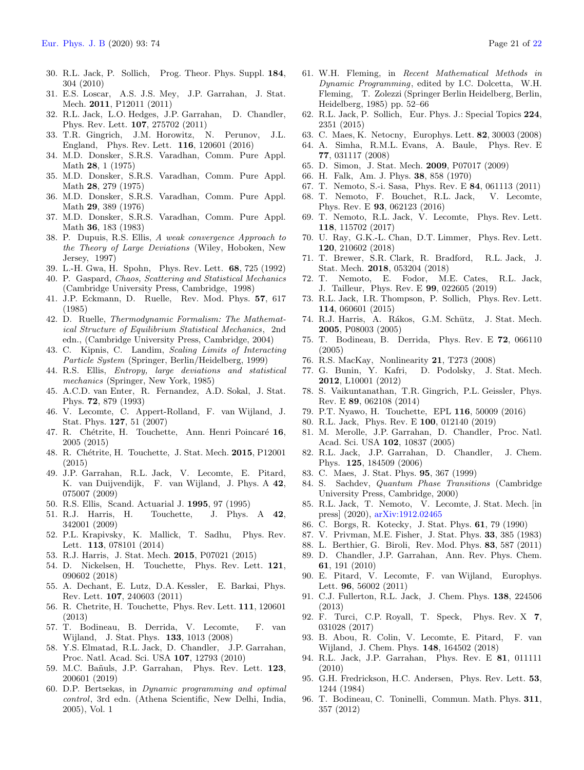- <span id="page-20-0"></span>30. R.L. Jack, P. Sollich, Prog. Theor. Phys. Suppl. 184, 304 (2010)
- <span id="page-20-1"></span>31. E.S. Loscar, A.S. J.S. Mey, J.P. Garrahan, J. Stat. Mech. 2011, P12011 (2011)
- <span id="page-20-2"></span>32. R.L. Jack, L.O. Hedges, J.P. Garrahan, D. Chandler, Phys. Rev. Lett. 107, 275702 (2011)
- <span id="page-20-3"></span>33. T.R. Gingrich, J.M. Horowitz, N. Perunov, J.L. England, Phys. Rev. Lett. 116, 120601 (2016)
- <span id="page-20-4"></span>34. M.D. Donsker, S.R.S. Varadhan, Comm. Pure Appl. Math 28, 1 (1975)
- 35. M.D. Donsker, S.R.S. Varadhan, Comm. Pure Appl. Math 28, 279 (1975)
- 36. M.D. Donsker, S.R.S. Varadhan, Comm. Pure Appl. Math 29, 389 (1976)
- <span id="page-20-5"></span>37. M.D. Donsker, S.R.S. Varadhan, Comm. Pure Appl. Math 36, 183 (1983)
- <span id="page-20-6"></span>38. P. Dupuis, R.S. Ellis, A weak convergence Approach to the Theory of Large Deviations (Wiley, Hoboken, New Jersey, 1997)
- <span id="page-20-7"></span>39. L.-H. Gwa, H. Spohn, Phys. Rev. Lett. 68, 725 (1992)
- <span id="page-20-8"></span>40. P. Gaspard, Chaos, Scattering and Statistical Mechanics (Cambridge University Press, Cambridge, 1998)
- <span id="page-20-9"></span>41. J.P. Eckmann, D. Ruelle, Rev. Mod. Phys. 57, 617 (1985)
- <span id="page-20-10"></span>42. D. Ruelle, Thermodynamic Formalism: The Mathematical Structure of Equilibrium Statistical Mechanics , 2nd edn., (Cambridge University Press, Cambridge, 2004)
- <span id="page-20-11"></span>43. C. Kipnis, C. Landim, Scaling Limits of Interacting Particle System (Springer, Berlin/Heidelberg, 1999)
- <span id="page-20-12"></span>44. R.S. Ellis, Entropy, large deviations and statistical mechanics (Springer, New York, 1985)
- <span id="page-20-13"></span>45. A.C.D. van Enter, R. Fernandez, A.D. Sokal, J. Stat. Phys. 72, 879 (1993)
- <span id="page-20-14"></span>46. V. Lecomte, C. Appert-Rolland, F. van Wijland, J. Stat. Phys. 127, 51 (2007)
- <span id="page-20-15"></span>47. R. Chétrite, H. Touchette, Ann. Henri Poincaré 16, 2005 (2015)
- <span id="page-20-16"></span>48. R. Chétrite, H. Touchette, J. Stat. Mech. 2015, P12001 (2015)
- <span id="page-20-21"></span>49. J.P. Garrahan, R.L. Jack, V. Lecomte, E. Pitard, K. van Duijvendijk, F. van Wijland, J. Phys. A 42, 075007 (2009)
- <span id="page-20-17"></span>50. R.S. Ellis, Scand. Actuarial J. 1995, 97 (1995)
- <span id="page-20-18"></span>51. R.J. Harris, H. Touchette, J. Phys. A 42, 342001 (2009)
- 52. P.L. Krapivsky, K. Mallick, T. Sadhu, Phys. Rev. Lett. 113, 078101 (2014)
- <span id="page-20-59"></span>53. R.J. Harris, J. Stat. Mech. 2015, P07021 (2015)
- <span id="page-20-19"></span>54. D. Nickelsen, H. Touchette, Phys. Rev. Lett. 121, 090602 (2018)
- <span id="page-20-20"></span>55. A. Dechant, E. Lutz, D.A. Kessler, E. Barkai, Phys. Rev. Lett. 107, 240603 (2011)
- <span id="page-20-22"></span>56. R. Chetrite, H. Touchette, Phys. Rev. Lett. 111, 120601 (2013)
- <span id="page-20-23"></span>57. T. Bodineau, B. Derrida, V. Lecomte, F. van Wijland, J. Stat. Phys. 133, 1013 (2008)
- <span id="page-20-24"></span>58. Y.S. Elmatad, R.L. Jack, D. Chandler, J.P. Garrahan, Proc. Natl. Acad. Sci. USA 107, 12793 (2010)
- <span id="page-20-25"></span>59. M.C. Bañuls, J.P. Garrahan, Phys. Rev. Lett. 123, 200601 (2019)
- <span id="page-20-26"></span>60. D.P. Bertsekas, in Dynamic programming and optimal control, 3rd edn. (Athena Scientific, New Delhi, India, 2005), Vol. 1
- <span id="page-20-27"></span>61. W.H. Fleming, in Recent Mathematical Methods in Dynamic Programming, edited by I.C. Dolcetta, W.H. Fleming, T. Zolezzi (Springer Berlin Heidelberg, Berlin, Heidelberg, 1985) pp. 52–66
- <span id="page-20-28"></span>62. R.L. Jack, P. Sollich, Eur. Phys. J.: Special Topics 224, 2351 (2015)
- <span id="page-20-29"></span>63. C. Maes, K. Netocny, Europhys. Lett. 82, 30003 (2008)
- 64. A. Simha, R.M.L. Evans, A. Baule, Phys. Rev. E 77, 031117 (2008)
- <span id="page-20-30"></span>65. D. Simon, J. Stat. Mech. 2009, P07017 (2009)
- <span id="page-20-31"></span>66. H. Falk, Am. J. Phys. 38, 858 (1970)
- <span id="page-20-32"></span>67. T. Nemoto, S.-i. Sasa, Phys. Rev. E 84, 061113 (2011)
- <span id="page-20-33"></span>68. T. Nemoto, F. Bouchet, R.L. Jack, V. Lecomte, Phys. Rev. E 93, 062123 (2016)
- <span id="page-20-45"></span>69. T. Nemoto, R.L. Jack, V. Lecomte, Phys. Rev. Lett. 118, 115702 (2017)
- 70. U. Ray, G.K.-L. Chan, D.T. Limmer, Phys. Rev. Lett. 120, 210602 (2018)
- <span id="page-20-58"></span>71. T. Brewer, S.R. Clark, R. Bradford, R.L. Jack, J. Stat. Mech. 2018, 053204 (2018)
- <span id="page-20-34"></span>72. T. Nemoto, E. Fodor, M.E. Cates, R.L. Jack, J. Tailleur, Phys. Rev. E 99, 022605 (2019)
- <span id="page-20-35"></span>73. R.L. Jack, I.R. Thompson, P. Sollich, Phys. Rev. Lett. 114, 060601 (2015)
- <span id="page-20-36"></span>74. R.J. Harris, A. Rákos, G.M. Schütz, J. Stat. Mech. 2005, P08003 (2005)
- <span id="page-20-37"></span>75. T. Bodineau, B. Derrida, Phys. Rev. E 72, 066110 (2005)
- <span id="page-20-38"></span>76. R.S. MacKay, Nonlinearity 21, T273 (2008)
- <span id="page-20-39"></span>77. G. Bunin, Y. Kafri, D. Podolsky, J. Stat. Mech. 2012, L10001 (2012)
- 78. S. Vaikuntanathan, T.R. Gingrich, P.L. Geissler, Phys. Rev. E 89, 062108 (2014)
- 79. P.T. Nyawo, H. Touchette, EPL 116, 50009 (2016)
- <span id="page-20-40"></span>80. R.L. Jack, Phys. Rev. E 100, 012140 (2019)
- <span id="page-20-41"></span>81. M. Merolle, J.P. Garrahan, D. Chandler, Proc. Natl. Acad. Sci. USA 102, 10837 (2005)
- <span id="page-20-42"></span>82. R.L. Jack, J.P. Garrahan, D. Chandler, J. Chem. Phys. 125, 184509 (2006)
- <span id="page-20-43"></span>83. C. Maes, J. Stat. Phys. 95, 367 (1999)
- <span id="page-20-44"></span>84. S. Sachdev, Quantum Phase Transitions (Cambridge University Press, Cambridge, 2000)
- <span id="page-20-46"></span>85. R.L. Jack, T. Nemoto, V. Lecomte, J. Stat. Mech. [in press] (2020), [arXiv:1912.02465](https://arxiv.org/abs/1912.02465)
- <span id="page-20-47"></span>86. C. Borgs, R. Kotecky, J. Stat. Phys. 61, 79 (1990)
- <span id="page-20-48"></span>87. V. Privman, M.E. Fisher, J. Stat. Phys. 33, 385 (1983)
- <span id="page-20-49"></span>88. L. Berthier, G. Biroli, Rev. Mod. Phys. 83, 587 (2011)
- <span id="page-20-50"></span>89. D. Chandler, J.P. Garrahan, Ann. Rev. Phys. Chem. 61, 191 (2010)
- <span id="page-20-51"></span>90. E. Pitard, V. Lecomte, F. van Wijland, Europhys. Lett. 96, 56002 (2011)
- <span id="page-20-53"></span>91. C.J. Fullerton, R.L. Jack, J. Chem. Phys. 138, 224506 (2013)
- <span id="page-20-52"></span>92. F. Turci, C.P. Royall, T. Speck, Phys. Rev. X 7, 031028 (2017)
- <span id="page-20-54"></span>93. B. Abou, R. Colin, V. Lecomte, E. Pitard, F. van Wijland, J. Chem. Phys. 148, 164502 (2018)
- <span id="page-20-55"></span>94. R.L. Jack, J.P. Garrahan, Phys. Rev. E 81, 011111 (2010)
- <span id="page-20-56"></span>95. G.H. Fredrickson, H.C. Andersen, Phys. Rev. Lett. 53, 1244 (1984)
- <span id="page-20-57"></span>96. T. Bodineau, C. Toninelli, Commun. Math. Phys. 311, 357 (2012)